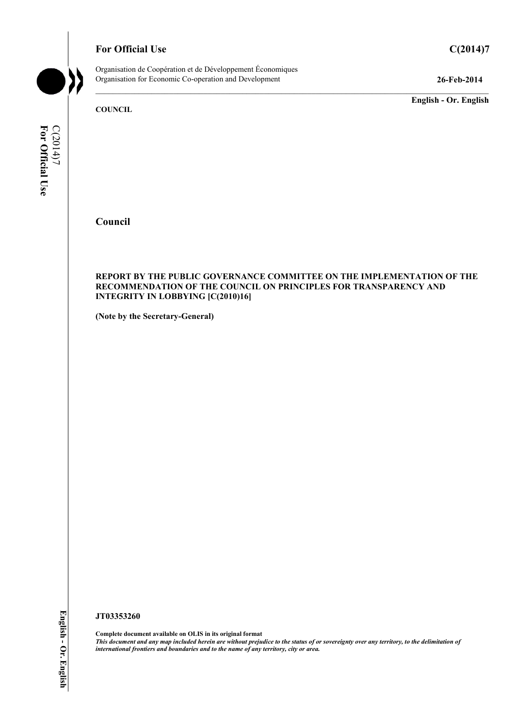# **For Official Use C(2014)7**

Organisation de Coopération et de Développement Économiques Organisation for Economic Co-operation and Development **26-Feb-2014** 

**English - Or. English** 

**COUNCIL** 

**For Official Use**  C(2014)7<br>For Official Use

**Council** 

#### **REPORT BY THE PUBLIC GOVERNANCE COMMITTEE ON THE IMPLEMENTATION OF THE RECOMMENDATION OF THE COUNCIL ON PRINCIPLES FOR TRANSPARENCY AND INTEGRITY IN LOBBYING [C(2010)16]**

**(Note by the Secretary-General)** 

#### **JT03353260**

English - Or. English **English - Or. English**

**Complete document available on OLIS in its original format** *This document and any map included herein are without prejudice to the status of or sovereignty over any territory, to the delimitation of international frontiers and boundaries and to the name of any territory, city or area.*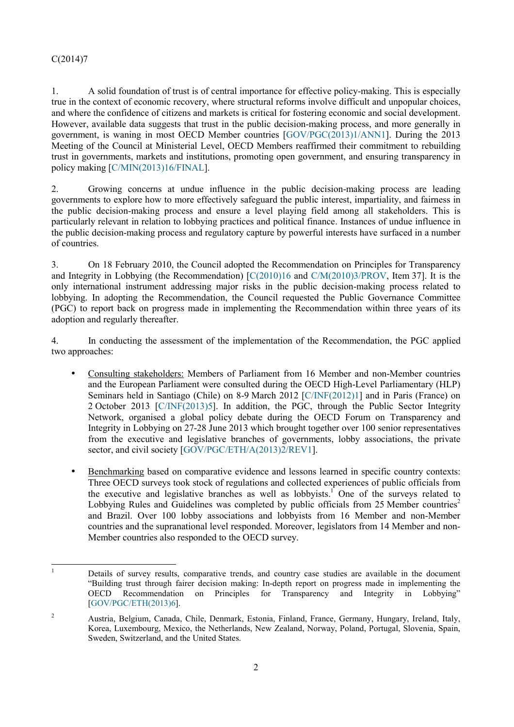1. A solid foundation of trust is of central importance for effective policy-making. This is especially true in the context of economic recovery, where structural reforms involve difficult and unpopular choices, and where the confidence of citizens and markets is critical for fostering economic and social development. However, available data suggests that trust in the public decision-making process, and more generally in government, is waning in most OECD Member countries [GOV/PGC(2013)1/ANN1]. During the 2013 Meeting of the Council at Ministerial Level, OECD Members reaffirmed their commitment to rebuilding trust in governments, markets and institutions, promoting open government, and ensuring transparency in policy making [C/MIN(2013)16/FINAL].

2. Growing concerns at undue influence in the public decision-making process are leading governments to explore how to more effectively safeguard the public interest, impartiality, and fairness in the public decision-making process and ensure a level playing field among all stakeholders. This is particularly relevant in relation to lobbying practices and political finance. Instances of undue influence in the public decision-making process and regulatory capture by powerful interests have surfaced in a number of countries.

3. On 18 February 2010, the Council adopted the Recommendation on Principles for Transparency and Integrity in Lobbying (the Recommendation) [C(2010)16 and C/M(2010)3/PROV, Item 37]. It is the only international instrument addressing major risks in the public decision-making process related to lobbying. In adopting the Recommendation, the Council requested the Public Governance Committee (PGC) to report back on progress made in implementing the Recommendation within three years of its adoption and regularly thereafter.

4. In conducting the assessment of the implementation of the Recommendation, the PGC applied two approaches:

- Consulting stakeholders: Members of Parliament from 16 Member and non-Member countries and the European Parliament were consulted during the OECD High-Level Parliamentary (HLP) Seminars held in Santiago (Chile) on 8-9 March 2012 [C/INF(2012)1] and in Paris (France) on 2 October 2013 [C/INF(2013)5]. In addition, the PGC, through the Public Sector Integrity Network, organised a global policy debate during the OECD Forum on Transparency and Integrity in Lobbying on 27-28 June 2013 which brought together over 100 senior representatives from the executive and legislative branches of governments, lobby associations, the private sector, and civil society [GOV/PGC/ETH/A(2013)2/REV1].
- Benchmarking based on comparative evidence and lessons learned in specific country contexts: Three OECD surveys took stock of regulations and collected experiences of public officials from the executive and legislative branches as well as lobbyists.<sup>1</sup> One of the surveys related to Lobbying Rules and Guidelines was completed by public officials from 25 Member countries<sup>2</sup> and Brazil. Over 100 lobby associations and lobbyists from 16 Member and non-Member countries and the supranational level responded. Moreover, legislators from 14 Member and non-Member countries also responded to the OECD survey.

<sup>|&</sup>lt;br>|<br>| Details of survey results, comparative trends, and country case studies are available in the document "Building trust through fairer decision making: In-depth report on progress made in implementing the OECD Recommendation on Principles for Transparency and Integrity in Lobbying" [GOV/PGC/ETH(2013)6].

<sup>2</sup> Austria, Belgium, Canada, Chile, Denmark, Estonia, Finland, France, Germany, Hungary, Ireland, Italy, Korea, Luxembourg, Mexico, the Netherlands, New Zealand, Norway, Poland, Portugal, Slovenia, Spain, Sweden, Switzerland, and the United States.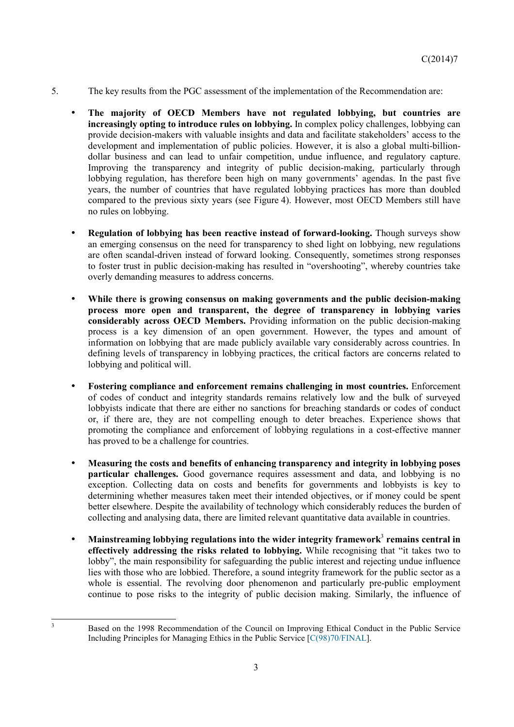- 5. The key results from the PGC assessment of the implementation of the Recommendation are:
	- **The majority of OECD Members have not regulated lobbying, but countries are increasingly opting to introduce rules on lobbying.** In complex policy challenges, lobbying can provide decision-makers with valuable insights and data and facilitate stakeholders' access to the development and implementation of public policies. However, it is also a global multi-billiondollar business and can lead to unfair competition, undue influence, and regulatory capture. Improving the transparency and integrity of public decision-making, particularly through lobbying regulation, has therefore been high on many governments' agendas. In the past five years, the number of countries that have regulated lobbying practices has more than doubled compared to the previous sixty years (see Figure 4). However, most OECD Members still have no rules on lobbying.
	- **Regulation of lobbying has been reactive instead of forward-looking.** Though surveys show an emerging consensus on the need for transparency to shed light on lobbying, new regulations are often scandal-driven instead of forward looking. Consequently, sometimes strong responses to foster trust in public decision-making has resulted in "overshooting", whereby countries take overly demanding measures to address concerns.
	- **While there is growing consensus on making governments and the public decision-making process more open and transparent, the degree of transparency in lobbying varies considerably across OECD Members.** Providing information on the public decision-making process is a key dimension of an open government. However, the types and amount of information on lobbying that are made publicly available vary considerably across countries. In defining levels of transparency in lobbying practices, the critical factors are concerns related to lobbying and political will.
	- **Fostering compliance and enforcement remains challenging in most countries.** Enforcement of codes of conduct and integrity standards remains relatively low and the bulk of surveyed lobbyists indicate that there are either no sanctions for breaching standards or codes of conduct or, if there are, they are not compelling enough to deter breaches. Experience shows that promoting the compliance and enforcement of lobbying regulations in a cost-effective manner has proved to be a challenge for countries.
	- **Measuring the costs and benefits of enhancing transparency and integrity in lobbying poses particular challenges.** Good governance requires assessment and data, and lobbying is no exception. Collecting data on costs and benefits for governments and lobbyists is key to determining whether measures taken meet their intended objectives, or if money could be spent better elsewhere. Despite the availability of technology which considerably reduces the burden of collecting and analysing data, there are limited relevant quantitative data available in countries.
	- **•** Mainstreaming lobbying regulations into the wider integrity framework<sup>3</sup> remains central in **effectively addressing the risks related to lobbying.** While recognising that "it takes two to lobby", the main responsibility for safeguarding the public interest and rejecting undue influence lies with those who are lobbied. Therefore, a sound integrity framework for the public sector as a whole is essential. The revolving door phenomenon and particularly pre-public employment continue to pose risks to the integrity of public decision making. Similarly, the influence of

3

Based on the 1998 Recommendation of the Council on Improving Ethical Conduct in the Public Service Including Principles for Managing Ethics in the Public Service [C(98)70/FINAL].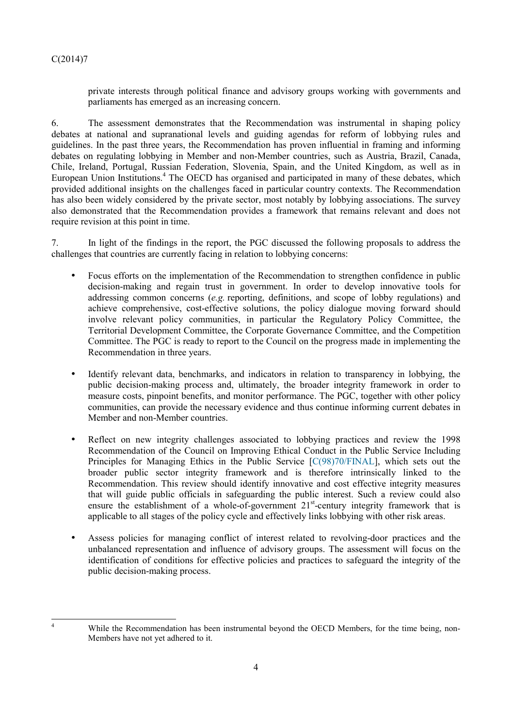$\frac{1}{4}$ 

private interests through political finance and advisory groups working with governments and parliaments has emerged as an increasing concern.

6. The assessment demonstrates that the Recommendation was instrumental in shaping policy debates at national and supranational levels and guiding agendas for reform of lobbying rules and guidelines. In the past three years, the Recommendation has proven influential in framing and informing debates on regulating lobbying in Member and non-Member countries, such as Austria, Brazil, Canada, Chile, Ireland, Portugal, Russian Federation, Slovenia, Spain, and the United Kingdom, as well as in European Union Institutions.<sup>4</sup> The OECD has organised and participated in many of these debates, which provided additional insights on the challenges faced in particular country contexts. The Recommendation has also been widely considered by the private sector, most notably by lobbying associations. The survey also demonstrated that the Recommendation provides a framework that remains relevant and does not require revision at this point in time.

7. In light of the findings in the report, the PGC discussed the following proposals to address the challenges that countries are currently facing in relation to lobbying concerns:

- Focus efforts on the implementation of the Recommendation to strengthen confidence in public decision-making and regain trust in government. In order to develop innovative tools for addressing common concerns (*e.g.* reporting, definitions, and scope of lobby regulations) and achieve comprehensive, cost-effective solutions, the policy dialogue moving forward should involve relevant policy communities, in particular the Regulatory Policy Committee, the Territorial Development Committee, the Corporate Governance Committee, and the Competition Committee. The PGC is ready to report to the Council on the progress made in implementing the Recommendation in three years.
- Identify relevant data, benchmarks, and indicators in relation to transparency in lobbying, the public decision-making process and, ultimately, the broader integrity framework in order to measure costs, pinpoint benefits, and monitor performance. The PGC, together with other policy communities, can provide the necessary evidence and thus continue informing current debates in Member and non-Member countries.
- Reflect on new integrity challenges associated to lobbying practices and review the 1998 Recommendation of the Council on Improving Ethical Conduct in the Public Service Including Principles for Managing Ethics in the Public Service [C(98)70/FINAL], which sets out the broader public sector integrity framework and is therefore intrinsically linked to the Recommendation. This review should identify innovative and cost effective integrity measures that will guide public officials in safeguarding the public interest. Such a review could also ensure the establishment of a whole-of-government  $21<sup>st</sup>$ -century integrity framework that is applicable to all stages of the policy cycle and effectively links lobbying with other risk areas.
- Assess policies for managing conflict of interest related to revolving-door practices and the unbalanced representation and influence of advisory groups. The assessment will focus on the identification of conditions for effective policies and practices to safeguard the integrity of the public decision-making process.

While the Recommendation has been instrumental beyond the OECD Members, for the time being, non-Members have not yet adhered to it.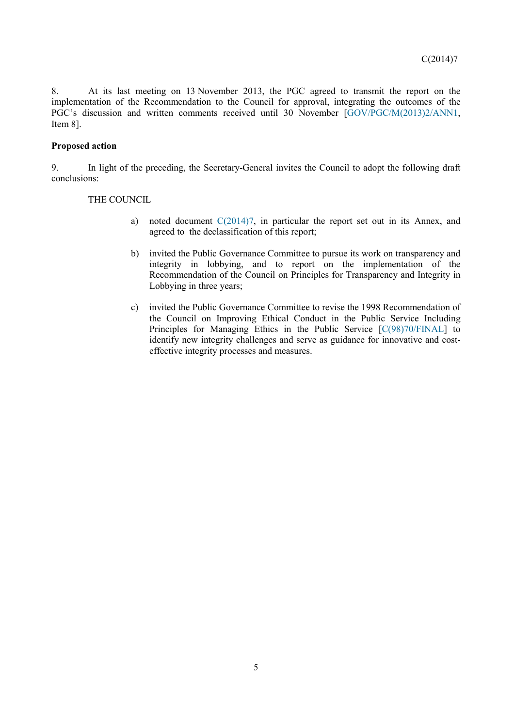8. At its last meeting on 13 November 2013, the PGC agreed to transmit the report on the implementation of the Recommendation to the Council for approval, integrating the outcomes of the PGC's discussion and written comments received until 30 November [GOV/PGC/M(2013)2/ANN1, Item 8].

### **Proposed action**

9. In light of the preceding, the Secretary-General invites the Council to adopt the following draft conclusions:

### THE COUNCIL

- a) noted document  $C(2014)7$ , in particular the report set out in its Annex, and agreed to the declassification of this report;
- b) invited the Public Governance Committee to pursue its work on transparency and integrity in lobbying, and to report on the implementation of the Recommendation of the Council on Principles for Transparency and Integrity in Lobbying in three years;
- c) invited the Public Governance Committee to revise the 1998 Recommendation of the Council on Improving Ethical Conduct in the Public Service Including Principles for Managing Ethics in the Public Service [C(98)70/FINAL] to identify new integrity challenges and serve as guidance for innovative and costeffective integrity processes and measures.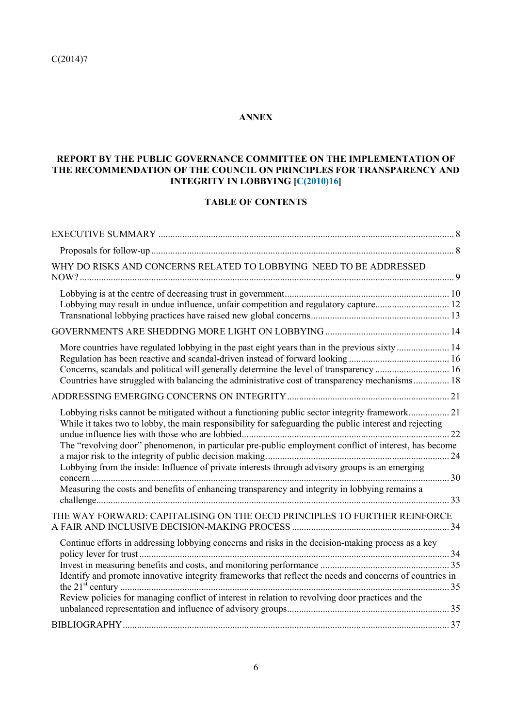# **ANNEX**

# **REPORT BY THE PUBLIC GOVERNANCE COMMITTEE ON THE IMPLEMENTATION OF THE RECOMMENDATION OF THE COUNCIL ON PRINCIPLES FOR TRANSPARENCY AND INTEGRITY IN LOBBYING [C(2010)16]**

# **TABLE OF CONTENTS**

| WHY DO RISKS AND CONCERNS RELATED TO LOBBYING NEED TO BE ADDRESSED                                                                                                                                                                                                                                                                                                                                                   |  |
|----------------------------------------------------------------------------------------------------------------------------------------------------------------------------------------------------------------------------------------------------------------------------------------------------------------------------------------------------------------------------------------------------------------------|--|
| Lobbying may result in undue influence, unfair competition and regulatory capture 12                                                                                                                                                                                                                                                                                                                                 |  |
|                                                                                                                                                                                                                                                                                                                                                                                                                      |  |
| More countries have regulated lobbying in the past eight years than in the previous sixty  14<br>Concerns, scandals and political will generally determine the level of transparency  16<br>Countries have struggled with balancing the administrative cost of transparency mechanisms 18                                                                                                                            |  |
|                                                                                                                                                                                                                                                                                                                                                                                                                      |  |
| Lobbying risks cannot be mitigated without a functioning public sector integrity framework 21<br>While it takes two to lobby, the main responsibility for safeguarding the public interest and rejecting<br>The "revolving door" phenomenon, in particular pre-public employment conflict of interest, has become<br>Lobbying from the inside: Influence of private interests through advisory groups is an emerging |  |
| Measuring the costs and benefits of enhancing transparency and integrity in lobbying remains a                                                                                                                                                                                                                                                                                                                       |  |
| THE WAY FORWARD: CAPITALISING ON THE OECD PRINCIPLES TO FURTHER REINFORCE                                                                                                                                                                                                                                                                                                                                            |  |
| Continue efforts in addressing lobbying concerns and risks in the decision-making process as a key                                                                                                                                                                                                                                                                                                                   |  |
| Identify and promote innovative integrity frameworks that reflect the needs and concerns of countries in                                                                                                                                                                                                                                                                                                             |  |
| Review policies for managing conflict of interest in relation to revolving door practices and the                                                                                                                                                                                                                                                                                                                    |  |
|                                                                                                                                                                                                                                                                                                                                                                                                                      |  |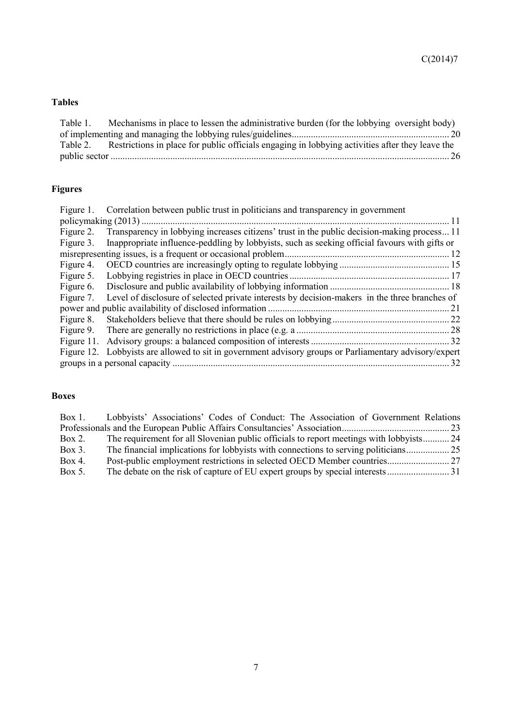# **Tables**

| Table 1. | Mechanisms in place to lessen the administrative burden (for the lobbying oversight body)                |
|----------|----------------------------------------------------------------------------------------------------------|
|          |                                                                                                          |
|          | Table 2. Restrictions in place for public officials engaging in lobbying activities after they leave the |
|          |                                                                                                          |

# **Figures**

| Figure 1.  | Correlation between public trust in politicians and transparency in government                         |    |  |
|------------|--------------------------------------------------------------------------------------------------------|----|--|
| - 11       |                                                                                                        |    |  |
| Figure 2.  | Transparency in lobbying increases citizens' trust in the public decision-making process 11            |    |  |
| Figure 3.  | Inappropriate influence-peddling by lobbyists, such as seeking official favours with gifts or          |    |  |
|            |                                                                                                        |    |  |
| Figure 4.  |                                                                                                        |    |  |
| Figure 5.  |                                                                                                        |    |  |
| Figure 6.  |                                                                                                        |    |  |
| Figure 7.  | Level of disclosure of selected private interests by decision-makers in the three branches of          |    |  |
|            |                                                                                                        | 21 |  |
| Figure 8.  |                                                                                                        |    |  |
| Figure 9.  |                                                                                                        |    |  |
| Figure 11. |                                                                                                        |    |  |
|            | Figure 12. Lobbyists are allowed to sit in government advisory groups or Parliamentary advisory/expert |    |  |
|            |                                                                                                        | 32 |  |

# **Boxes**

| $Box 1$ . | Lobbyists' Associations' Codes of Conduct: The Association of Government Relations      |  |
|-----------|-----------------------------------------------------------------------------------------|--|
|           |                                                                                         |  |
| $Box 2$ . | The requirement for all Slovenian public officials to report meetings with lobbyists 24 |  |
| Box $3$ . |                                                                                         |  |
| Box 4.    |                                                                                         |  |
| Box $5$ . |                                                                                         |  |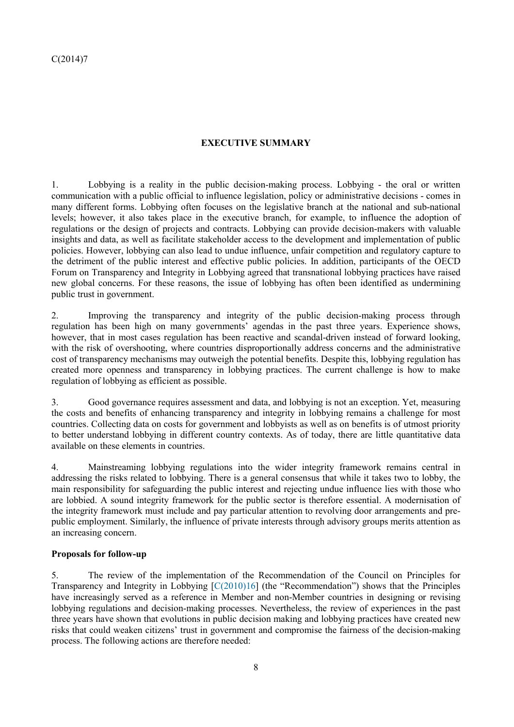# **EXECUTIVE SUMMARY**

1. Lobbying is a reality in the public decision-making process. Lobbying - the oral or written communication with a public official to influence legislation, policy or administrative decisions - comes in many different forms. Lobbying often focuses on the legislative branch at the national and sub-national levels; however, it also takes place in the executive branch, for example, to influence the adoption of regulations or the design of projects and contracts. Lobbying can provide decision-makers with valuable insights and data, as well as facilitate stakeholder access to the development and implementation of public policies. However, lobbying can also lead to undue influence, unfair competition and regulatory capture to the detriment of the public interest and effective public policies. In addition, participants of the OECD Forum on Transparency and Integrity in Lobbying agreed that transnational lobbying practices have raised new global concerns. For these reasons, the issue of lobbying has often been identified as undermining public trust in government.

2. Improving the transparency and integrity of the public decision-making process through regulation has been high on many governments' agendas in the past three years. Experience shows, however, that in most cases regulation has been reactive and scandal-driven instead of forward looking, with the risk of overshooting, where countries disproportionally address concerns and the administrative cost of transparency mechanisms may outweigh the potential benefits. Despite this, lobbying regulation has created more openness and transparency in lobbying practices. The current challenge is how to make regulation of lobbying as efficient as possible.

3. Good governance requires assessment and data, and lobbying is not an exception. Yet, measuring the costs and benefits of enhancing transparency and integrity in lobbying remains a challenge for most countries. Collecting data on costs for government and lobbyists as well as on benefits is of utmost priority to better understand lobbying in different country contexts. As of today, there are little quantitative data available on these elements in countries.

4. Mainstreaming lobbying regulations into the wider integrity framework remains central in addressing the risks related to lobbying. There is a general consensus that while it takes two to lobby, the main responsibility for safeguarding the public interest and rejecting undue influence lies with those who are lobbied. A sound integrity framework for the public sector is therefore essential. A modernisation of the integrity framework must include and pay particular attention to revolving door arrangements and prepublic employment. Similarly, the influence of private interests through advisory groups merits attention as an increasing concern.

### **Proposals for follow-up**

5. The review of the implementation of the Recommendation of the Council on Principles for Transparency and Integrity in Lobbying [C(2010)16] (the "Recommendation") shows that the Principles have increasingly served as a reference in Member and non-Member countries in designing or revising lobbying regulations and decision-making processes. Nevertheless, the review of experiences in the past three years have shown that evolutions in public decision making and lobbying practices have created new risks that could weaken citizens' trust in government and compromise the fairness of the decision-making process. The following actions are therefore needed: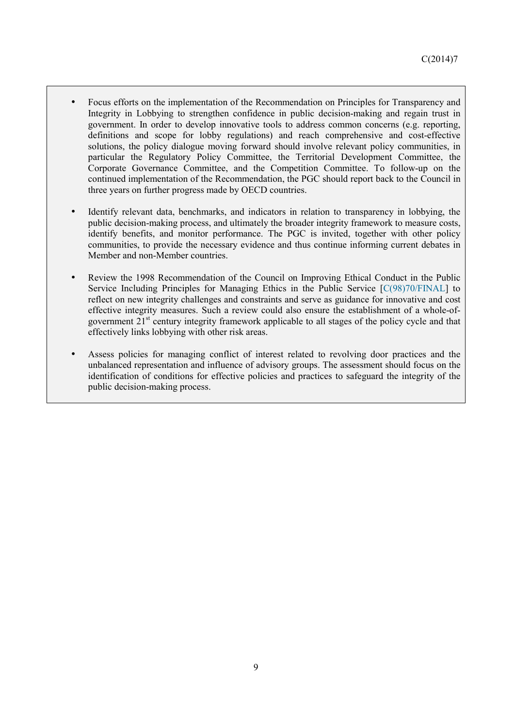- Focus efforts on the implementation of the Recommendation on Principles for Transparency and Integrity in Lobbying to strengthen confidence in public decision-making and regain trust in government. In order to develop innovative tools to address common concerns (e.g. reporting, definitions and scope for lobby regulations) and reach comprehensive and cost-effective solutions, the policy dialogue moving forward should involve relevant policy communities, in particular the Regulatory Policy Committee, the Territorial Development Committee, the Corporate Governance Committee, and the Competition Committee. To follow-up on the continued implementation of the Recommendation, the PGC should report back to the Council in three years on further progress made by OECD countries.
- Identify relevant data, benchmarks, and indicators in relation to transparency in lobbying, the public decision-making process, and ultimately the broader integrity framework to measure costs, identify benefits, and monitor performance. The PGC is invited, together with other policy communities, to provide the necessary evidence and thus continue informing current debates in Member and non-Member countries.
- Review the 1998 Recommendation of the Council on Improving Ethical Conduct in the Public Service Including Principles for Managing Ethics in the Public Service [C(98)70/FINAL] to reflect on new integrity challenges and constraints and serve as guidance for innovative and cost effective integrity measures. Such a review could also ensure the establishment of a whole-ofgovernment 21st century integrity framework applicable to all stages of the policy cycle and that effectively links lobbying with other risk areas.
- Assess policies for managing conflict of interest related to revolving door practices and the unbalanced representation and influence of advisory groups. The assessment should focus on the identification of conditions for effective policies and practices to safeguard the integrity of the public decision-making process.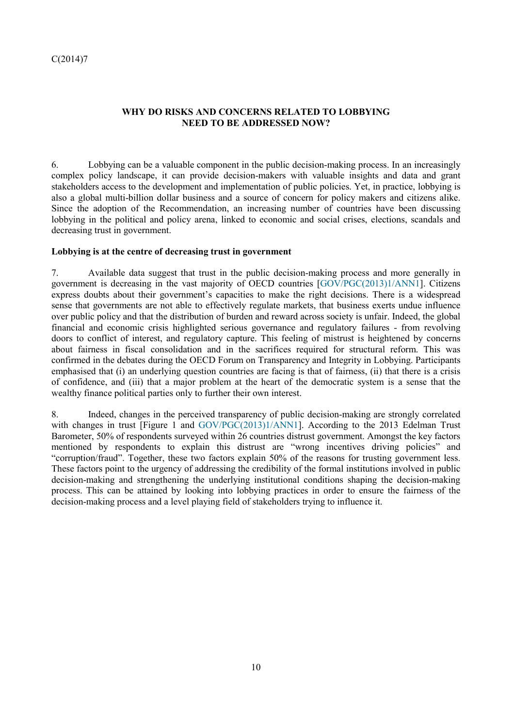## **WHY DO RISKS AND CONCERNS RELATED TO LOBBYING NEED TO BE ADDRESSED NOW?**

6. Lobbying can be a valuable component in the public decision-making process. In an increasingly complex policy landscape, it can provide decision-makers with valuable insights and data and grant stakeholders access to the development and implementation of public policies. Yet, in practice, lobbying is also a global multi-billion dollar business and a source of concern for policy makers and citizens alike. Since the adoption of the Recommendation, an increasing number of countries have been discussing lobbying in the political and policy arena, linked to economic and social crises, elections, scandals and decreasing trust in government.

### **Lobbying is at the centre of decreasing trust in government**

7. Available data suggest that trust in the public decision-making process and more generally in government is decreasing in the vast majority of OECD countries [GOV/PGC(2013)1/ANN1]. Citizens express doubts about their government's capacities to make the right decisions. There is a widespread sense that governments are not able to effectively regulate markets, that business exerts undue influence over public policy and that the distribution of burden and reward across society is unfair. Indeed, the global financial and economic crisis highlighted serious governance and regulatory failures - from revolving doors to conflict of interest, and regulatory capture. This feeling of mistrust is heightened by concerns about fairness in fiscal consolidation and in the sacrifices required for structural reform. This was confirmed in the debates during the OECD Forum on Transparency and Integrity in Lobbying. Participants emphasised that (i) an underlying question countries are facing is that of fairness, (ii) that there is a crisis of confidence, and (iii) that a major problem at the heart of the democratic system is a sense that the wealthy finance political parties only to further their own interest.

8. Indeed, changes in the perceived transparency of public decision-making are strongly correlated with changes in trust [Figure 1 and GOV/PGC(2013)1/ANN1]. According to the 2013 Edelman Trust Barometer, 50% of respondents surveyed within 26 countries distrust government. Amongst the key factors mentioned by respondents to explain this distrust are "wrong incentives driving policies" and "corruption/fraud". Together, these two factors explain 50% of the reasons for trusting government less. These factors point to the urgency of addressing the credibility of the formal institutions involved in public decision-making and strengthening the underlying institutional conditions shaping the decision-making process. This can be attained by looking into lobbying practices in order to ensure the fairness of the decision-making process and a level playing field of stakeholders trying to influence it.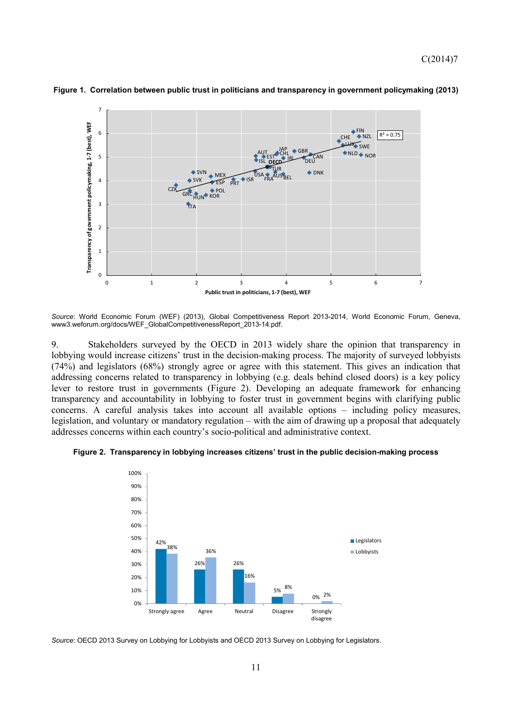

**Figure 1. Correlation between public trust in politicians and transparency in government policymaking (2013)** 

*Source*: World Economic Forum (WEF) (2013), Global Competitiveness Report 2013-2014, World Economic Forum, Geneva, www3.weforum.org/docs/WEF\_GlobalCompetitivenessReport\_2013-14.pdf.

9. Stakeholders surveyed by the OECD in 2013 widely share the opinion that transparency in lobbying would increase citizens' trust in the decision-making process. The majority of surveyed lobbyists (74%) and legislators (68%) strongly agree or agree with this statement. This gives an indication that addressing concerns related to transparency in lobbying (e.g. deals behind closed doors) is a key policy lever to restore trust in governments (Figure 2). Developing an adequate framework for enhancing transparency and accountability in lobbying to foster trust in government begins with clarifying public concerns. A careful analysis takes into account all available options – including policy measures, legislation, and voluntary or mandatory regulation – with the aim of drawing up a proposal that adequately addresses concerns within each country's socio-political and administrative context.





*Source*: OECD 2013 Survey on Lobbying for Lobbyists and OECD 2013 Survey on Lobbying for Legislators.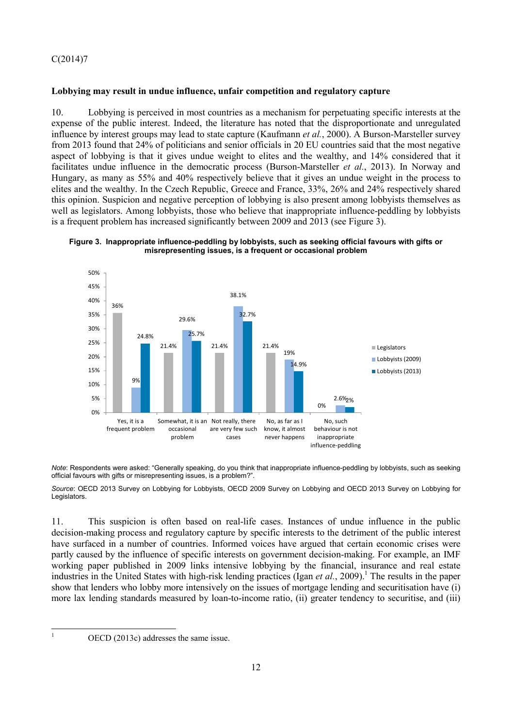## **Lobbying may result in undue influence, unfair competition and regulatory capture**

10. Lobbying is perceived in most countries as a mechanism for perpetuating specific interests at the expense of the public interest. Indeed, the literature has noted that the disproportionate and unregulated influence by interest groups may lead to state capture (Kaufmann *et al.*, 2000). A Burson-Marsteller survey from 2013 found that 24% of politicians and senior officials in 20 EU countries said that the most negative aspect of lobbying is that it gives undue weight to elites and the wealthy, and 14% considered that it facilitates undue influence in the democratic process (Burson-Marsteller *et al.*, 2013). In Norway and Hungary, as many as 55% and 40% respectively believe that it gives an undue weight in the process to elites and the wealthy. In the Czech Republic, Greece and France, 33%, 26% and 24% respectively shared this opinion. Suspicion and negative perception of lobbying is also present among lobbyists themselves as well as legislators. Among lobbyists, those who believe that inappropriate influence-peddling by lobbyists is a frequent problem has increased significantly between 2009 and 2013 (see Figure 3).





*Note*: Respondents were asked: "Generally speaking, do you think that inappropriate influence-peddling by lobbyists, such as seeking official favours with gifts or misrepresenting issues, is a problem?".

*Source*: OECD 2013 Survey on Lobbying for Lobbyists, OECD 2009 Survey on Lobbying and OECD 2013 Survey on Lobbying for Legislators.

11. This suspicion is often based on real-life cases. Instances of undue influence in the public decision-making process and regulatory capture by specific interests to the detriment of the public interest have surfaced in a number of countries. Informed voices have argued that certain economic crises were partly caused by the influence of specific interests on government decision-making. For example, an IMF working paper published in 2009 links intensive lobbying by the financial, insurance and real estate industries in the United States with high-risk lending practices (Igan *et al.*, 2009).<sup>1</sup> The results in the paper show that lenders who lobby more intensively on the issues of mortgage lending and securitisation have (i) more lax lending standards measured by loan-to-income ratio, (ii) greater tendency to securitise, and (iii)

|<br>|<br>|

OECD (2013c) addresses the same issue.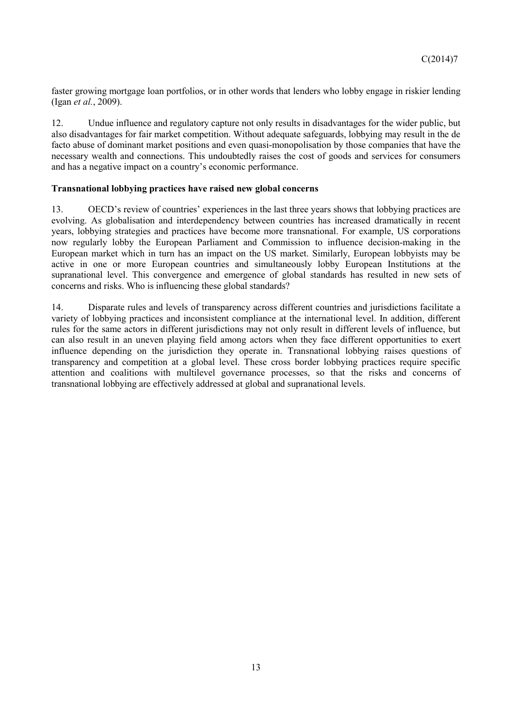faster growing mortgage loan portfolios, or in other words that lenders who lobby engage in riskier lending (Igan *et al.*, 2009).

12. Undue influence and regulatory capture not only results in disadvantages for the wider public, but also disadvantages for fair market competition. Without adequate safeguards, lobbying may result in the de facto abuse of dominant market positions and even quasi-monopolisation by those companies that have the necessary wealth and connections. This undoubtedly raises the cost of goods and services for consumers and has a negative impact on a country's economic performance.

## **Transnational lobbying practices have raised new global concerns**

13. OECD's review of countries' experiences in the last three years shows that lobbying practices are evolving. As globalisation and interdependency between countries has increased dramatically in recent years, lobbying strategies and practices have become more transnational. For example, US corporations now regularly lobby the European Parliament and Commission to influence decision-making in the European market which in turn has an impact on the US market. Similarly, European lobbyists may be active in one or more European countries and simultaneously lobby European Institutions at the supranational level. This convergence and emergence of global standards has resulted in new sets of concerns and risks. Who is influencing these global standards?

14. Disparate rules and levels of transparency across different countries and jurisdictions facilitate a variety of lobbying practices and inconsistent compliance at the international level. In addition, different rules for the same actors in different jurisdictions may not only result in different levels of influence, but can also result in an uneven playing field among actors when they face different opportunities to exert influence depending on the jurisdiction they operate in. Transnational lobbying raises questions of transparency and competition at a global level. These cross border lobbying practices require specific attention and coalitions with multilevel governance processes, so that the risks and concerns of transnational lobbying are effectively addressed at global and supranational levels.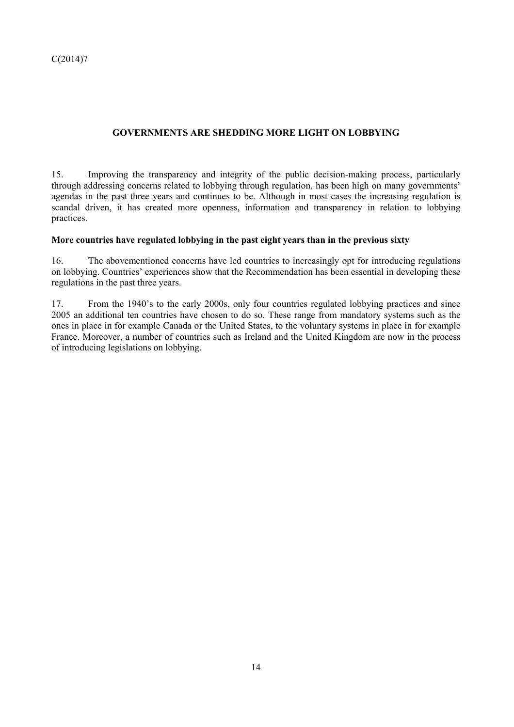# **GOVERNMENTS ARE SHEDDING MORE LIGHT ON LOBBYING**

15. Improving the transparency and integrity of the public decision-making process, particularly through addressing concerns related to lobbying through regulation, has been high on many governments' agendas in the past three years and continues to be. Although in most cases the increasing regulation is scandal driven, it has created more openness, information and transparency in relation to lobbying practices.

### **More countries have regulated lobbying in the past eight years than in the previous sixty**

16. The abovementioned concerns have led countries to increasingly opt for introducing regulations on lobbying. Countries' experiences show that the Recommendation has been essential in developing these regulations in the past three years.

17. From the 1940's to the early 2000s, only four countries regulated lobbying practices and since 2005 an additional ten countries have chosen to do so. These range from mandatory systems such as the ones in place in for example Canada or the United States, to the voluntary systems in place in for example France. Moreover, a number of countries such as Ireland and the United Kingdom are now in the process of introducing legislations on lobbying.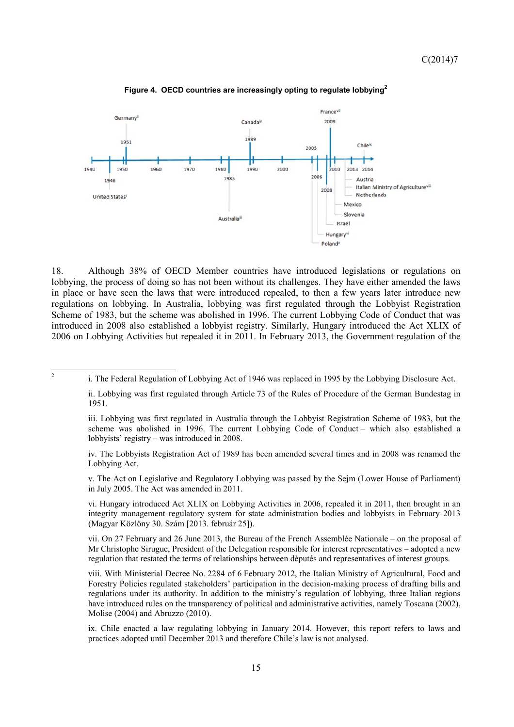

**Figure 4. OECD countries are increasingly opting to regulate lobbying2**

18. Although 38% of OECD Member countries have introduced legislations or regulations on lobbying, the process of doing so has not been without its challenges. They have either amended the laws in place or have seen the laws that were introduced repealed, to then a few years later introduce new regulations on lobbying. In Australia, lobbying was first regulated through the Lobbyist Registration Scheme of 1983, but the scheme was abolished in 1996. The current Lobbying Code of Conduct that was introduced in 2008 also established a lobbyist registry. Similarly, Hungary introduced the Act XLIX of 2006 on Lobbying Activities but repealed it in 2011. In February 2013, the Government regulation of the

 $\overline{2}$ 

 iii. Lobbying was first regulated in Australia through the Lobbyist Registration Scheme of 1983, but the scheme was abolished in 1996. The current Lobbying Code of Conduct – which also established a lobbyists' registry – was introduced in 2008.

 iv. The Lobbyists Registration Act of 1989 has been amended several times and in 2008 was renamed the Lobbying Act.

 v. The Act on Legislative and Regulatory Lobbying was passed by the Sejm (Lower House of Parliament) in July 2005. The Act was amended in 2011.

 vi. Hungary introduced Act XLIX on Lobbying Activities in 2006, repealed it in 2011, then brought in an integrity management regulatory system for state administration bodies and lobbyists in February 2013 (Magyar Közlöny 30. Szám [2013. február 25]).

vii. On 27 February and 26 June 2013, the Bureau of the French Assemblée Nationale – on the proposal of Mr Christophe Sirugue, President of the Delegation responsible for interest representatives – adopted a new regulation that restated the terms of relationships between députés and representatives of interest groups.

viii. With Ministerial Decree No. 2284 of 6 February 2012, the Italian Ministry of Agricultural, Food and Forestry Policies regulated stakeholders' participation in the decision-making process of drafting bills and regulations under its authority. In addition to the ministry's regulation of lobbying, three Italian regions have introduced rules on the transparency of political and administrative activities, namely Toscana (2002), Molise (2004) and Abruzzo (2010).

ix. Chile enacted a law regulating lobbying in January 2014. However, this report refers to laws and practices adopted until December 2013 and therefore Chile's law is not analysed.

<sup>2</sup> i. The Federal Regulation of Lobbying Act of 1946 was replaced in 1995 by the Lobbying Disclosure Act.

ii. Lobbying was first regulated through Article 73 of the Rules of Procedure of the German Bundestag in 1951.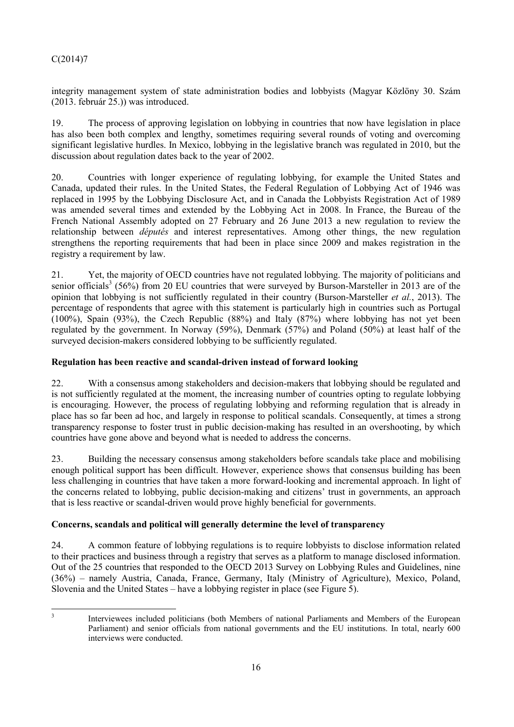integrity management system of state administration bodies and lobbyists (Magyar Közlöny 30. Szám (2013. február 25.)) was introduced.

19. The process of approving legislation on lobbying in countries that now have legislation in place has also been both complex and lengthy, sometimes requiring several rounds of voting and overcoming significant legislative hurdles. In Mexico, lobbying in the legislative branch was regulated in 2010, but the discussion about regulation dates back to the year of 2002.

20. Countries with longer experience of regulating lobbying, for example the United States and Canada, updated their rules. In the United States, the Federal Regulation of Lobbying Act of 1946 was replaced in 1995 by the Lobbying Disclosure Act, and in Canada the Lobbyists Registration Act of 1989 was amended several times and extended by the Lobbying Act in 2008. In France, the Bureau of the French National Assembly adopted on 27 February and 26 June 2013 a new regulation to review the relationship between *députés* and interest representatives. Among other things, the new regulation strengthens the reporting requirements that had been in place since 2009 and makes registration in the registry a requirement by law.

21. Yet, the majority of OECD countries have not regulated lobbying. The majority of politicians and senior officials<sup>3</sup> (56%) from 20 EU countries that were surveyed by Burson-Marsteller in 2013 are of the opinion that lobbying is not sufficiently regulated in their country (Burson-Marsteller *et al.*, 2013). The percentage of respondents that agree with this statement is particularly high in countries such as Portugal (100%), Spain (93%), the Czech Republic (88%) and Italy (87%) where lobbying has not yet been regulated by the government. In Norway (59%), Denmark (57%) and Poland (50%) at least half of the surveyed decision-makers considered lobbying to be sufficiently regulated.

# **Regulation has been reactive and scandal-driven instead of forward looking**

22. With a consensus among stakeholders and decision-makers that lobbying should be regulated and is not sufficiently regulated at the moment, the increasing number of countries opting to regulate lobbying is encouraging. However, the process of regulating lobbying and reforming regulation that is already in place has so far been ad hoc, and largely in response to political scandals. Consequently, at times a strong transparency response to foster trust in public decision-making has resulted in an overshooting, by which countries have gone above and beyond what is needed to address the concerns.

23. Building the necessary consensus among stakeholders before scandals take place and mobilising enough political support has been difficult. However, experience shows that consensus building has been less challenging in countries that have taken a more forward-looking and incremental approach. In light of the concerns related to lobbying, public decision-making and citizens' trust in governments, an approach that is less reactive or scandal-driven would prove highly beneficial for governments.

# **Concerns, scandals and political will generally determine the level of transparency**

24. A common feature of lobbying regulations is to require lobbyists to disclose information related to their practices and business through a registry that serves as a platform to manage disclosed information. Out of the 25 countries that responded to the OECD 2013 Survey on Lobbying Rules and Guidelines, nine (36%) – namely Austria, Canada, France, Germany, Italy (Ministry of Agriculture), Mexico, Poland, Slovenia and the United States – have a lobbying register in place (see Figure 5).

 $\overline{\mathbf{3}}$ 

Interviewees included politicians (both Members of national Parliaments and Members of the European Parliament) and senior officials from national governments and the EU institutions. In total, nearly 600 interviews were conducted.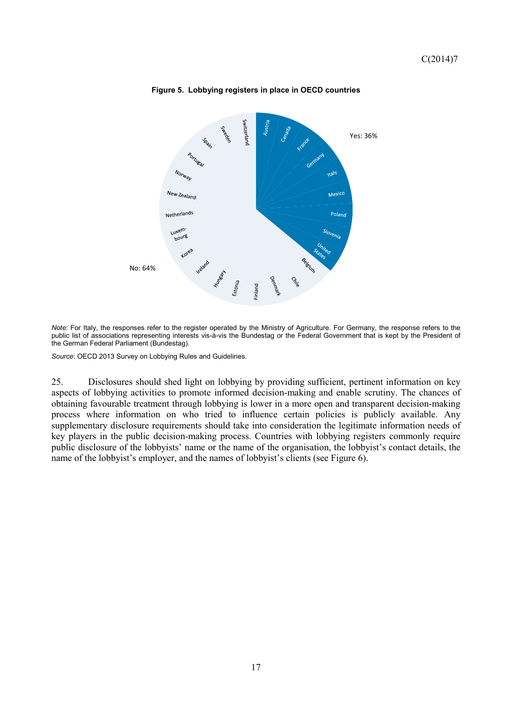

**Figure 5. Lobbying registers in place in OECD countries** 

*Note*: For Italy, the responses refer to the register operated by the Ministry of Agriculture. For Germany, the response refers to the public list of associations representing interests vis-à-vis the Bundestag or the Federal Government that is kept by the President of the German Federal Parliament (Bundestag).

*Source*: OECD 2013 Survey on Lobbying Rules and Guidelines.

25. Disclosures should shed light on lobbying by providing sufficient, pertinent information on key aspects of lobbying activities to promote informed decision-making and enable scrutiny. The chances of obtaining favourable treatment through lobbying is lower in a more open and transparent decision-making process where information on who tried to influence certain policies is publicly available. Any supplementary disclosure requirements should take into consideration the legitimate information needs of key players in the public decision-making process. Countries with lobbying registers commonly require public disclosure of the lobbyists' name or the name of the organisation, the lobbyist's contact details, the name of the lobbyist's employer, and the names of lobbyist's clients (see Figure 6).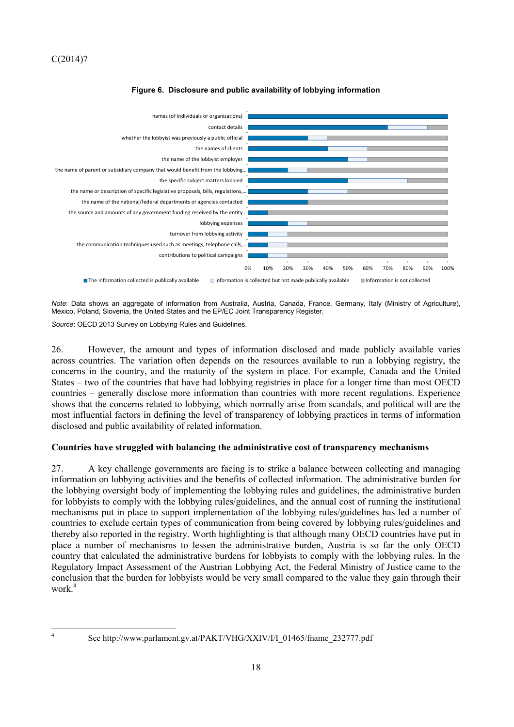

### **Figure 6. Disclosure and public availability of lobbying information**

*Note*: Data shows an aggregate of information from Australia, Austria, Canada, France, Germany, Italy (Ministry of Agriculture), Mexico, Poland, Slovenia, the United States and the EP/EC Joint Transparency Register.

*Source*: OECD 2013 Survey on Lobbying Rules and Guidelines.

26. However, the amount and types of information disclosed and made publicly available varies across countries. The variation often depends on the resources available to run a lobbying registry, the concerns in the country, and the maturity of the system in place. For example, Canada and the United States – two of the countries that have had lobbying registries in place for a longer time than most OECD countries – generally disclose more information than countries with more recent regulations. Experience shows that the concerns related to lobbying, which normally arise from scandals, and political will are the most influential factors in defining the level of transparency of lobbying practices in terms of information disclosed and public availability of related information.

### **Countries have struggled with balancing the administrative cost of transparency mechanisms**

27. A key challenge governments are facing is to strike a balance between collecting and managing information on lobbying activities and the benefits of collected information. The administrative burden for the lobbying oversight body of implementing the lobbying rules and guidelines, the administrative burden for lobbyists to comply with the lobbying rules/guidelines, and the annual cost of running the institutional mechanisms put in place to support implementation of the lobbying rules/guidelines has led a number of countries to exclude certain types of communication from being covered by lobbying rules/guidelines and thereby also reported in the registry. Worth highlighting is that although many OECD countries have put in place a number of mechanisms to lessen the administrative burden, Austria is so far the only OECD country that calculated the administrative burdens for lobbyists to comply with the lobbying rules. In the Regulatory Impact Assessment of the Austrian Lobbying Act, the Federal Ministry of Justice came to the conclusion that the burden for lobbyists would be very small compared to the value they gain through their work $4$ 

See http://www.parlament.gv.at/PAKT/VHG/XXIV/I/I\_01465/fname\_232777.pdf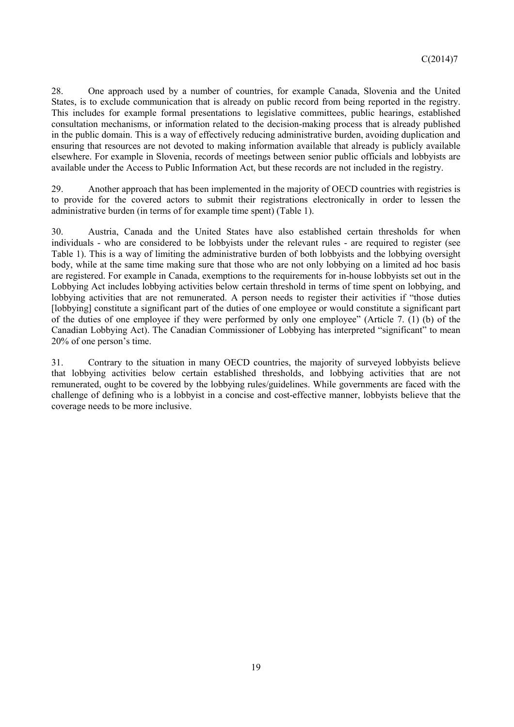28. One approach used by a number of countries, for example Canada, Slovenia and the United States, is to exclude communication that is already on public record from being reported in the registry. This includes for example formal presentations to legislative committees, public hearings, established consultation mechanisms, or information related to the decision-making process that is already published in the public domain. This is a way of effectively reducing administrative burden, avoiding duplication and ensuring that resources are not devoted to making information available that already is publicly available elsewhere. For example in Slovenia, records of meetings between senior public officials and lobbyists are available under the Access to Public Information Act, but these records are not included in the registry.

29. Another approach that has been implemented in the majority of OECD countries with registries is to provide for the covered actors to submit their registrations electronically in order to lessen the administrative burden (in terms of for example time spent) (Table 1).

30. Austria, Canada and the United States have also established certain thresholds for when individuals - who are considered to be lobbyists under the relevant rules - are required to register (see Table 1). This is a way of limiting the administrative burden of both lobbyists and the lobbying oversight body, while at the same time making sure that those who are not only lobbying on a limited ad hoc basis are registered. For example in Canada, exemptions to the requirements for in-house lobbyists set out in the Lobbying Act includes lobbying activities below certain threshold in terms of time spent on lobbying, and lobbying activities that are not remunerated. A person needs to register their activities if "those duties [lobbying] constitute a significant part of the duties of one employee or would constitute a significant part of the duties of one employee if they were performed by only one employee" (Article 7. (1) (b) of the Canadian Lobbying Act). The Canadian Commissioner of Lobbying has interpreted "significant" to mean 20% of one person's time.

31. Contrary to the situation in many OECD countries, the majority of surveyed lobbyists believe that lobbying activities below certain established thresholds, and lobbying activities that are not remunerated, ought to be covered by the lobbying rules/guidelines. While governments are faced with the challenge of defining who is a lobbyist in a concise and cost-effective manner, lobbyists believe that the coverage needs to be more inclusive.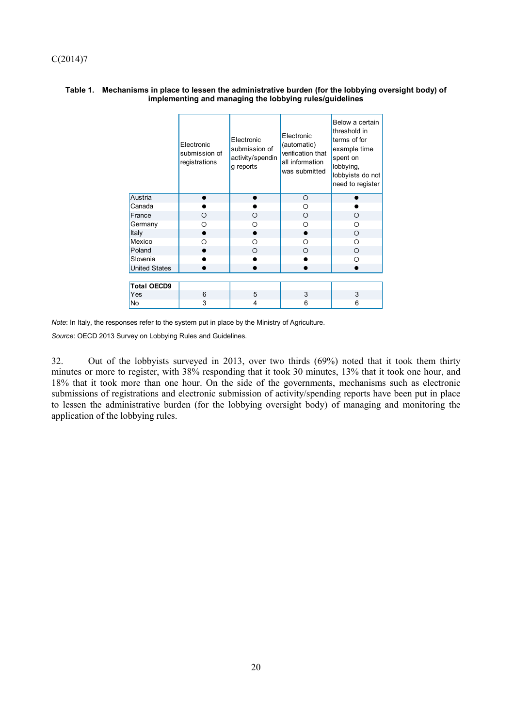|                      | Electronic<br>submission of<br>registrations | Electronic<br>submission of<br>activity/spendin<br>g reports | Electronic<br>(automatic)<br>verification that<br>all information<br>was submitted | Below a certain<br>threshold in<br>terms of for<br>example time<br>spent on<br>lobbying,<br>lobbyists do not<br>need to register |
|----------------------|----------------------------------------------|--------------------------------------------------------------|------------------------------------------------------------------------------------|----------------------------------------------------------------------------------------------------------------------------------|
| Austria              |                                              |                                                              | O                                                                                  |                                                                                                                                  |
| Canada               |                                              |                                                              | O                                                                                  |                                                                                                                                  |
| France               | $\circ$                                      | O                                                            | O                                                                                  | O                                                                                                                                |
| Germany              | O                                            | Ω                                                            | Ω                                                                                  | Ω                                                                                                                                |
| Italy                |                                              |                                                              |                                                                                    | O                                                                                                                                |
| Mexico               | ∩                                            | Ω                                                            | O                                                                                  | O                                                                                                                                |
| Poland               |                                              | O                                                            | Ω                                                                                  | $\Omega$                                                                                                                         |
| Slovenia             |                                              |                                                              |                                                                                    | Ω                                                                                                                                |
| <b>United States</b> |                                              |                                                              |                                                                                    |                                                                                                                                  |
|                      |                                              |                                                              |                                                                                    |                                                                                                                                  |
| <b>Total OECD9</b>   |                                              |                                                              |                                                                                    |                                                                                                                                  |
| Yes                  | 6                                            | 5                                                            | 3                                                                                  | 3                                                                                                                                |
| No                   | 3                                            | 4                                                            | 6                                                                                  | 6                                                                                                                                |

#### **Table 1. Mechanisms in place to lessen the administrative burden (for the lobbying oversight body) of implementing and managing the lobbying rules/guidelines**

*Note*: In Italy, the responses refer to the system put in place by the Ministry of Agriculture.

*Source*: OECD 2013 Survey on Lobbying Rules and Guidelines.

32. Out of the lobbyists surveyed in 2013, over two thirds (69%) noted that it took them thirty minutes or more to register, with 38% responding that it took 30 minutes, 13% that it took one hour, and 18% that it took more than one hour. On the side of the governments, mechanisms such as electronic submissions of registrations and electronic submission of activity/spending reports have been put in place to lessen the administrative burden (for the lobbying oversight body) of managing and monitoring the application of the lobbying rules.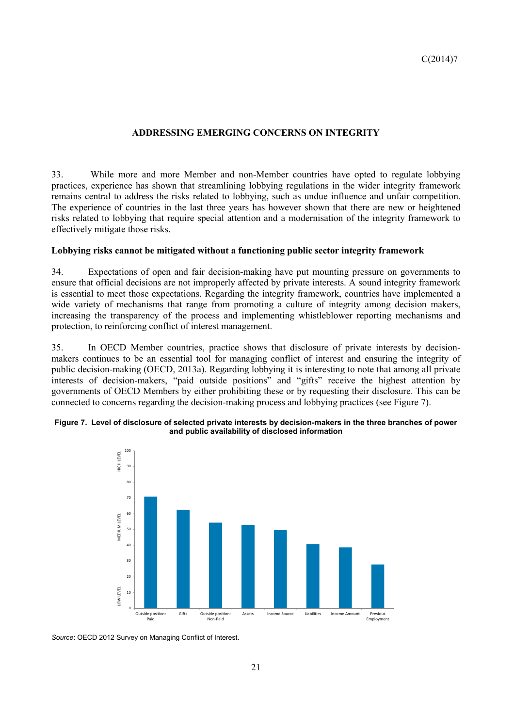## **ADDRESSING EMERGING CONCERNS ON INTEGRITY**

33. While more and more Member and non-Member countries have opted to regulate lobbying practices, experience has shown that streamlining lobbying regulations in the wider integrity framework remains central to address the risks related to lobbying, such as undue influence and unfair competition. The experience of countries in the last three years has however shown that there are new or heightened risks related to lobbying that require special attention and a modernisation of the integrity framework to effectively mitigate those risks.

### **Lobbying risks cannot be mitigated without a functioning public sector integrity framework**

34. Expectations of open and fair decision-making have put mounting pressure on governments to ensure that official decisions are not improperly affected by private interests. A sound integrity framework is essential to meet those expectations. Regarding the integrity framework, countries have implemented a wide variety of mechanisms that range from promoting a culture of integrity among decision makers, increasing the transparency of the process and implementing whistleblower reporting mechanisms and protection, to reinforcing conflict of interest management.

35. In OECD Member countries, practice shows that disclosure of private interests by decisionmakers continues to be an essential tool for managing conflict of interest and ensuring the integrity of public decision-making (OECD, 2013a). Regarding lobbying it is interesting to note that among all private interests of decision-makers, "paid outside positions" and "gifts" receive the highest attention by governments of OECD Members by either prohibiting these or by requesting their disclosure. This can be connected to concerns regarding the decision-making process and lobbying practices (see Figure 7).

#### **Figure 7. Level of disclosure of selected private interests by decision-makers in the three branches of power and public availability of disclosed information**



*Source*: OECD 2012 Survey on Managing Conflict of Interest.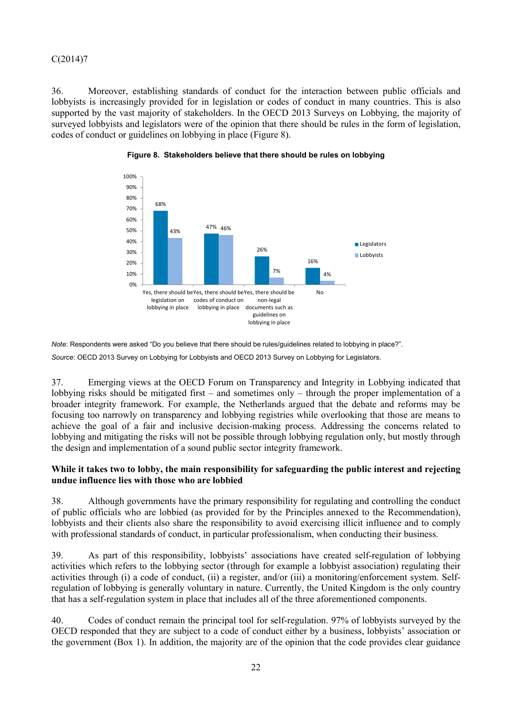36. Moreover, establishing standards of conduct for the interaction between public officials and lobbyists is increasingly provided for in legislation or codes of conduct in many countries. This is also supported by the vast majority of stakeholders. In the OECD 2013 Surveys on Lobbying, the majority of surveyed lobbyists and legislators were of the opinion that there should be rules in the form of legislation, codes of conduct or guidelines on lobbying in place (Figure 8).



**Figure 8. Stakeholders believe that there should be rules on lobbying** 

*Note*: Respondents were asked "Do you believe that there should be rules/guidelines related to lobbying in place?".

*Source*: OECD 2013 Survey on Lobbying for Lobbyists and OECD 2013 Survey on Lobbying for Legislators.

37. Emerging views at the OECD Forum on Transparency and Integrity in Lobbying indicated that lobbying risks should be mitigated first – and sometimes only – through the proper implementation of a broader integrity framework. For example, the Netherlands argued that the debate and reforms may be focusing too narrowly on transparency and lobbying registries while overlooking that those are means to achieve the goal of a fair and inclusive decision-making process. Addressing the concerns related to lobbying and mitigating the risks will not be possible through lobbying regulation only, but mostly through the design and implementation of a sound public sector integrity framework.

### **While it takes two to lobby, the main responsibility for safeguarding the public interest and rejecting undue influence lies with those who are lobbied**

38. Although governments have the primary responsibility for regulating and controlling the conduct of public officials who are lobbied (as provided for by the Principles annexed to the Recommendation), lobbyists and their clients also share the responsibility to avoid exercising illicit influence and to comply with professional standards of conduct, in particular professionalism, when conducting their business.

39. As part of this responsibility, lobbyists' associations have created self-regulation of lobbying activities which refers to the lobbying sector (through for example a lobbyist association) regulating their activities through (i) a code of conduct, (ii) a register, and/or (iii) a monitoring/enforcement system. Selfregulation of lobbying is generally voluntary in nature. Currently, the United Kingdom is the only country that has a self-regulation system in place that includes all of the three aforementioned components.

40. Codes of conduct remain the principal tool for self-regulation. 97% of lobbyists surveyed by the OECD responded that they are subject to a code of conduct either by a business, lobbyists' association or the government (Box 1). In addition, the majority are of the opinion that the code provides clear guidance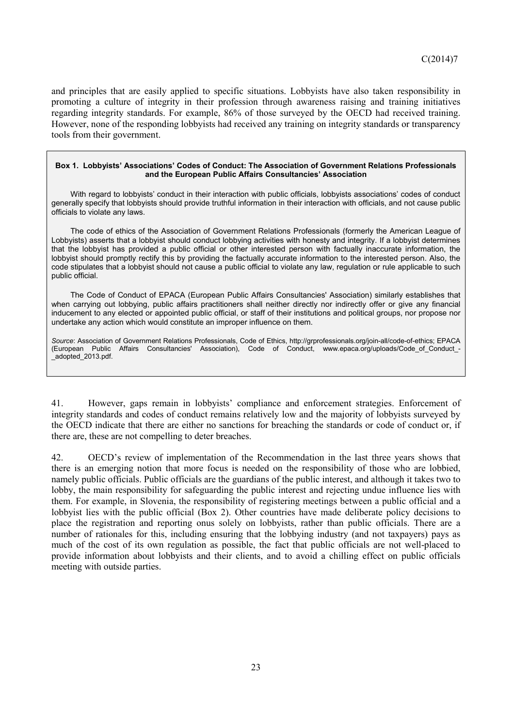and principles that are easily applied to specific situations. Lobbyists have also taken responsibility in promoting a culture of integrity in their profession through awareness raising and training initiatives regarding integrity standards. For example, 86% of those surveyed by the OECD had received training. However, none of the responding lobbyists had received any training on integrity standards or transparency tools from their government.

#### **Box 1. Lobbyists' Associations' Codes of Conduct: The Association of Government Relations Professionals and the European Public Affairs Consultancies' Association**

With regard to lobbyists' conduct in their interaction with public officials, lobbyists associations' codes of conduct generally specify that lobbyists should provide truthful information in their interaction with officials, and not cause public officials to violate any laws.

The code of ethics of the Association of Government Relations Professionals (formerly the American League of Lobbyists) asserts that a lobbyist should conduct lobbying activities with honesty and integrity. If a lobbyist determines that the lobbyist has provided a public official or other interested person with factually inaccurate information, the lobbyist should promptly rectify this by providing the factually accurate information to the interested person. Also, the code stipulates that a lobbyist should not cause a public official to violate any law, regulation or rule applicable to such public official.

The Code of Conduct of EPACA (European Public Affairs Consultancies' Association) similarly establishes that when carrying out lobbying, public affairs practitioners shall neither directly nor indirectly offer or give any financial inducement to any elected or appointed public official, or staff of their institutions and political groups, nor propose nor undertake any action which would constitute an improper influence on them.

*Source*: Association of Government Relations Professionals, Code of Ethics, http://grprofessionals.org/join-all/code-of-ethics; EPACA (European Public Affairs Consultancies' Association), Code of Conduct, www.epaca.org/uploads/Code\_of\_Conduct\_- \_adopted\_2013.pdf.

41. However, gaps remain in lobbyists' compliance and enforcement strategies. Enforcement of integrity standards and codes of conduct remains relatively low and the majority of lobbyists surveyed by the OECD indicate that there are either no sanctions for breaching the standards or code of conduct or, if there are, these are not compelling to deter breaches.

42. OECD's review of implementation of the Recommendation in the last three years shows that there is an emerging notion that more focus is needed on the responsibility of those who are lobbied, namely public officials. Public officials are the guardians of the public interest, and although it takes two to lobby, the main responsibility for safeguarding the public interest and rejecting undue influence lies with them. For example, in Slovenia, the responsibility of registering meetings between a public official and a lobbyist lies with the public official (Box 2). Other countries have made deliberate policy decisions to place the registration and reporting onus solely on lobbyists, rather than public officials. There are a number of rationales for this, including ensuring that the lobbying industry (and not taxpayers) pays as much of the cost of its own regulation as possible, the fact that public officials are not well-placed to provide information about lobbyists and their clients, and to avoid a chilling effect on public officials meeting with outside parties.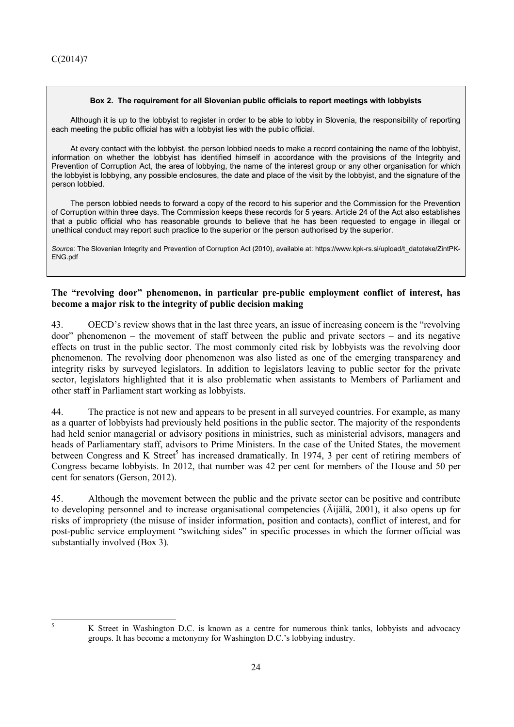#### **Box 2. The requirement for all Slovenian public officials to report meetings with lobbyists**

Although it is up to the lobbyist to register in order to be able to lobby in Slovenia, the responsibility of reporting each meeting the public official has with a lobbyist lies with the public official.

At every contact with the lobbyist, the person lobbied needs to make a record containing the name of the lobbyist, information on whether the lobbyist has identified himself in accordance with the provisions of the Integrity and Prevention of Corruption Act, the area of lobbying, the name of the interest group or any other organisation for which the lobbyist is lobbying, any possible enclosures, the date and place of the visit by the lobbyist, and the signature of the person lobbied.

The person lobbied needs to forward a copy of the record to his superior and the Commission for the Prevention of Corruption within three days. The Commission keeps these records for 5 years. Article 24 of the Act also establishes that a public official who has reasonable grounds to believe that he has been requested to engage in illegal or unethical conduct may report such practice to the superior or the person authorised by the superior.

*Source:* The Slovenian Integrity and Prevention of Corruption Act (2010), available at: https://www.kpk-rs.si/upload/t\_datoteke/ZintPK-ENG.pdf

### **The "revolving door" phenomenon, in particular pre-public employment conflict of interest, has become a major risk to the integrity of public decision making**

43. OECD's review shows that in the last three years, an issue of increasing concern is the "revolving door" phenomenon – the movement of staff between the public and private sectors – and its negative effects on trust in the public sector. The most commonly cited risk by lobbyists was the revolving door phenomenon. The revolving door phenomenon was also listed as one of the emerging transparency and integrity risks by surveyed legislators. In addition to legislators leaving to public sector for the private sector, legislators highlighted that it is also problematic when assistants to Members of Parliament and other staff in Parliament start working as lobbyists.

44. The practice is not new and appears to be present in all surveyed countries. For example, as many as a quarter of lobbyists had previously held positions in the public sector. The majority of the respondents had held senior managerial or advisory positions in ministries, such as ministerial advisors, managers and heads of Parliamentary staff, advisors to Prime Ministers. In the case of the United States, the movement between Congress and K Street<sup>5</sup> has increased dramatically. In 1974, 3 per cent of retiring members of Congress became lobbyists. In 2012, that number was 42 per cent for members of the House and 50 per cent for senators (Gerson, 2012).

45. Although the movement between the public and the private sector can be positive and contribute to developing personnel and to increase organisational competencies (Äijälä, 2001), it also opens up for risks of impropriety (the misuse of insider information, position and contacts), conflict of interest, and for post-public service employment "switching sides" in specific processes in which the former official was substantially involved (Box 3)*.* 

 $\overline{5}$ 

<sup>5</sup> K Street in Washington D.C. is known as a centre for numerous think tanks, lobbyists and advocacy groups. It has become a metonymy for Washington D.C.'s lobbying industry.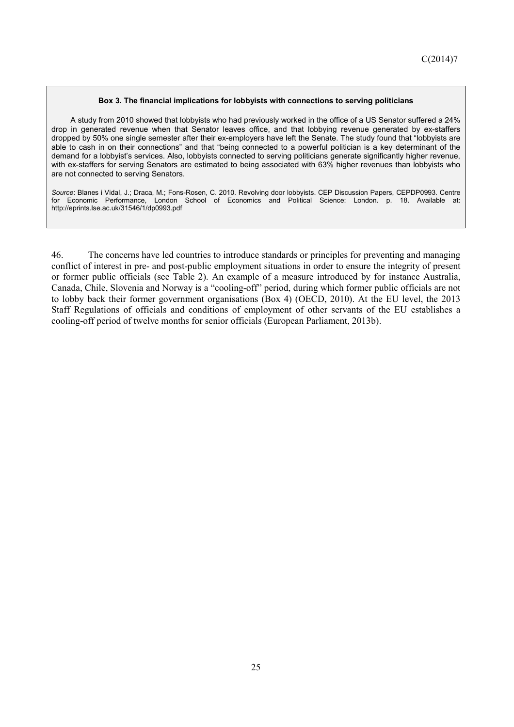#### **Box 3. The financial implications for lobbyists with connections to serving politicians**

A study from 2010 showed that lobbyists who had previously worked in the office of a US Senator suffered a 24% drop in generated revenue when that Senator leaves office, and that lobbying revenue generated by ex-staffers dropped by 50% one single semester after their ex-employers have left the Senate. The study found that "lobbyists are able to cash in on their connections" and that "being connected to a powerful politician is a key determinant of the demand for a lobbyist's services. Also, lobbyists connected to serving politicians generate significantly higher revenue, with ex-staffers for serving Senators are estimated to being associated with 63% higher revenues than lobbyists who are not connected to serving Senators.

*Source*: Blanes i Vidal, J.; Draca, M.; Fons-Rosen, C. 2010. Revolving door lobbyists. CEP Discussion Papers, CEPDP0993. Centre for Economic Performance, London School of Economics and Political Science: London. p. 18. Available at: http://eprints.lse.ac.uk/31546/1/dp0993.pdf

46. The concerns have led countries to introduce standards or principles for preventing and managing conflict of interest in pre- and post-public employment situations in order to ensure the integrity of present or former public officials (see Table 2). An example of a measure introduced by for instance Australia, Canada, Chile, Slovenia and Norway is a "cooling-off" period, during which former public officials are not to lobby back their former government organisations (Box 4) (OECD, 2010). At the EU level, the 2013 Staff Regulations of officials and conditions of employment of other servants of the EU establishes a cooling-off period of twelve months for senior officials (European Parliament, 2013b).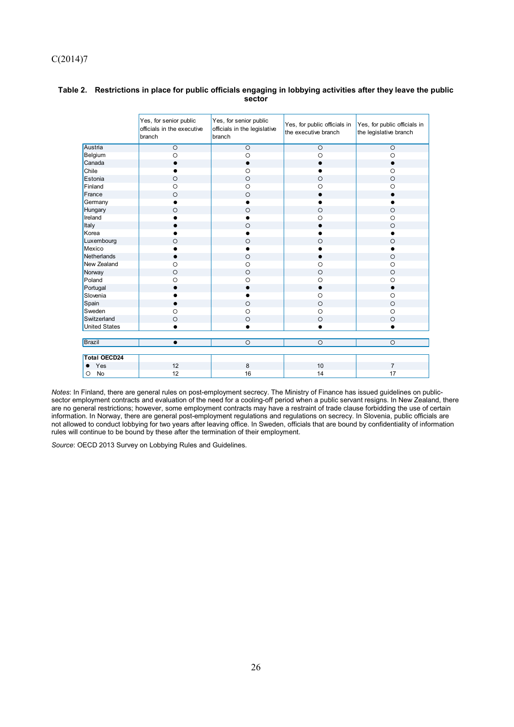|                      | Yes, for senior public<br>officials in the executive<br>branch | Yes, for senior public<br>officials in the legislative<br>branch | Yes, for public officials in<br>the executive branch | Yes, for public officials in<br>the legislative branch |
|----------------------|----------------------------------------------------------------|------------------------------------------------------------------|------------------------------------------------------|--------------------------------------------------------|
| Austria              | $\circ$                                                        | $\circ$                                                          | $\circ$                                              | $\circ$                                                |
| Belgium              | $\circ$                                                        | $\circ$                                                          | $\circ$                                              | $\circ$                                                |
| Canada               | $\bullet$                                                      | $\bullet$                                                        | $\bullet$                                            | $\bullet$                                              |
| Chile                |                                                                | $\circ$                                                          |                                                      | $\circ$                                                |
| Estonia              | $\circ$                                                        | $\circ$                                                          | $\circ$                                              | $\circ$                                                |
| Finland              | $\circ$                                                        | $\circ$                                                          | $\circ$                                              | $\circ$                                                |
| France               | $\circ$                                                        | $\circ$                                                          | $\bullet$                                            |                                                        |
| Germany              | $\bullet$                                                      | $\bullet$                                                        |                                                      |                                                        |
| Hungary              | $\circ$                                                        | $\circ$                                                          | $\circ$                                              | $\circ$                                                |
| Ireland              |                                                                | $\bullet$                                                        | $\circ$                                              | $\circ$                                                |
| Italy                |                                                                | $\circ$                                                          |                                                      | $\circ$                                                |
| Korea                |                                                                |                                                                  |                                                      |                                                        |
| Luxembourg           | $\circ$                                                        | $\circ$                                                          | $\circ$                                              | $\circ$                                                |
| Mexico               |                                                                | $\bullet$                                                        |                                                      | $\bullet$                                              |
| Netherlands          | $\bullet$                                                      | $\circ$                                                          | $\bullet$                                            | $\circ$                                                |
| New Zealand          | $\circ$                                                        | $\circ$                                                          | $\circ$                                              | $\circ$                                                |
| Norway               | $\circ$                                                        | $\circ$                                                          | $\circ$                                              | $\circ$                                                |
| Poland               | $\circ$                                                        | $\circ$                                                          | $\circ$                                              | $\circ$                                                |
| Portugal             | $\bullet$                                                      | $\bullet$                                                        | $\bullet$                                            | $\bullet$                                              |
| Slovenia             |                                                                | $\bullet$                                                        | $\circ$                                              | $\circ$                                                |
| Spain                | $\bullet$                                                      | $\circ$                                                          | $\circ$                                              | $\circ$                                                |
| Sweden               | $\circ$                                                        | $\circ$                                                          | $\circ$                                              | $\circ$                                                |
| Switzerland          | $\circ$                                                        | $\circ$                                                          | $\circ$                                              | $\circ$                                                |
| <b>United States</b> |                                                                |                                                                  |                                                      | ٠                                                      |
|                      |                                                                |                                                                  |                                                      |                                                        |
| Brazil               | $\bullet$                                                      | $\circ$                                                          | $\circ$                                              | $\circ$                                                |
|                      |                                                                |                                                                  |                                                      |                                                        |
| <b>Total OECD24</b>  |                                                                |                                                                  |                                                      |                                                        |
| Yes                  | 12                                                             | 8                                                                | 10                                                   | $\overline{7}$                                         |
| No<br>O              | 12                                                             | 16                                                               | 14                                                   | 17                                                     |

### **Table 2. Restrictions in place for public officials engaging in lobbying activities after they leave the public sector**

*Notes*: In Finland, there are general rules on post-employment secrecy. The Ministry of Finance has issued guidelines on publicsector employment contracts and evaluation of the need for a cooling-off period when a public servant resigns. In New Zealand, there are no general restrictions; however, some employment contracts may have a restraint of trade clause forbidding the use of certain information. In Norway, there are general post-employment regulations and regulations on secrecy. In Slovenia, public officials are not allowed to conduct lobbying for two years after leaving office. In Sweden, officials that are bound by confidentiality of information rules will continue to be bound by these after the termination of their employment.

*Source*: OECD 2013 Survey on Lobbying Rules and Guidelines.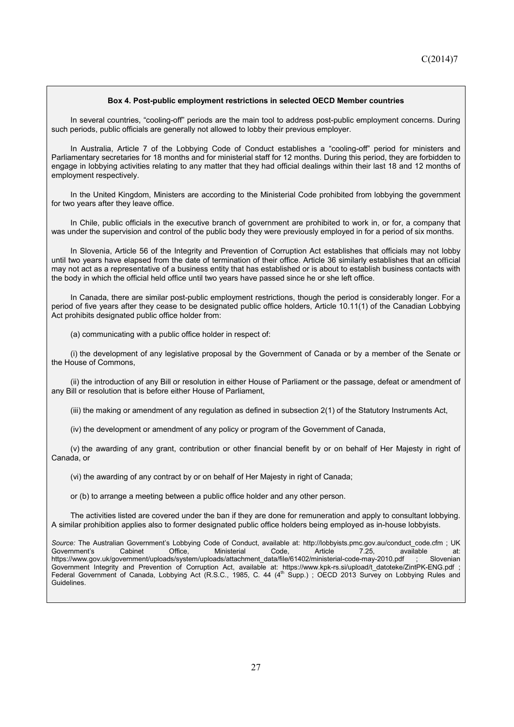#### **Box 4. Post-public employment restrictions in selected OECD Member countries**

In several countries, "cooling-off" periods are the main tool to address post-public employment concerns. During such periods, public officials are generally not allowed to lobby their previous employer.

In Australia, Article 7 of the Lobbying Code of Conduct establishes a "cooling-off" period for ministers and Parliamentary secretaries for 18 months and for ministerial staff for 12 months. During this period, they are forbidden to engage in lobbying activities relating to any matter that they had official dealings within their last 18 and 12 months of employment respectively.

In the United Kingdom, Ministers are according to the Ministerial Code prohibited from lobbying the government for two years after they leave office.

In Chile, public officials in the executive branch of government are prohibited to work in, or for, a company that was under the supervision and control of the public body they were previously employed in for a period of six months.

In Slovenia, Article 56 of the Integrity and Prevention of Corruption Act establishes that officials may not lobby until two years have elapsed from the date of termination of their office. Article 36 similarly establishes that an official may not act as a representative of a business entity that has established or is about to establish business contacts with the body in which the official held office until two years have passed since he or she left office.

In Canada, there are similar post-public employment restrictions, though the period is considerably longer. For a period of five years after they cease to be designated public office holders, Article 10.11(1) of the Canadian Lobbying Act prohibits designated public office holder from:

(a) communicating with a public office holder in respect of:

(i) the development of any legislative proposal by the Government of Canada or by a member of the Senate or the House of Commons,

(ii) the introduction of any Bill or resolution in either House of Parliament or the passage, defeat or amendment of any Bill or resolution that is before either House of Parliament,

(iii) the making or amendment of any regulation as defined in subsection 2(1) of the Statutory Instruments Act,

(iv) the development or amendment of any policy or program of the Government of Canada,

(v) the awarding of any grant, contribution or other financial benefit by or on behalf of Her Majesty in right of Canada, or

(vi) the awarding of any contract by or on behalf of Her Majesty in right of Canada;

or (b) to arrange a meeting between a public office holder and any other person.

The activities listed are covered under the ban if they are done for remuneration and apply to consultant lobbying. A similar prohibition applies also to former designated public office holders being employed as in-house lobbyists.

*Source:* The Australian Government's Lobbying Code of Conduct, available at: http://lobbyists.pmc.gov.au/conduct\_code.cfm ; UK Government's Cabinet Office, Ministerial Code, Article 7.25, available at: https://www.gov.uk/government/uploads/system/uploads/attachment\_data/file/61402/ministerial-code-may-2010.pdf ; Slovenian Government Integrity and Prevention of Corruption Act, available at: https://www.kpk-rs.si/upload/t\_datoteke/ZintPK-ENG.pdf ;<br>Federal Government of Canada, Lobbying Act (R.S.C., 1985, C. 44 (4<sup>th</sup> Supp.) ; OECD 2013 Survey Guidelines.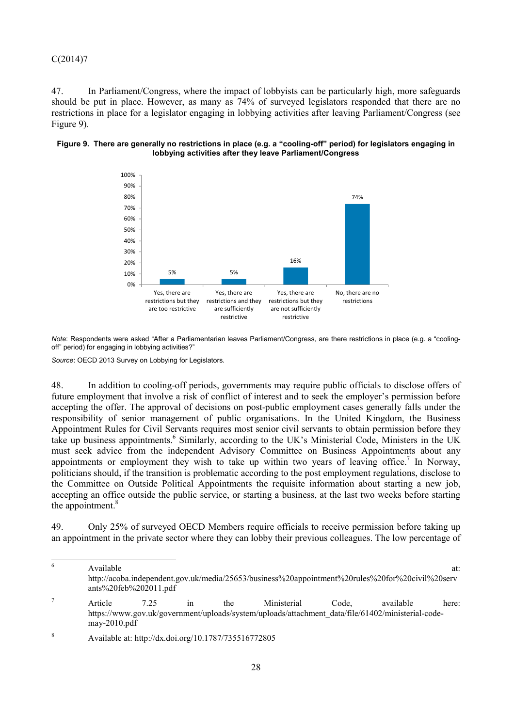47. In Parliament/Congress, where the impact of lobbyists can be particularly high, more safeguards should be put in place. However, as many as 74% of surveyed legislators responded that there are no restrictions in place for a legislator engaging in lobbying activities after leaving Parliament/Congress (see Figure 9).

#### **Figure 9. There are generally no restrictions in place (e.g. a "cooling-off" period) for legislators engaging in lobbying activities after they leave Parliament/Congress**



*Note*: Respondents were asked "After a Parliamentarian leaves Parliament/Congress, are there restrictions in place (e.g. a "coolingoff" period) for engaging in lobbying activities?"

*Source*: OECD 2013 Survey on Lobbying for Legislators.

48. In addition to cooling-off periods, governments may require public officials to disclose offers of future employment that involve a risk of conflict of interest and to seek the employer's permission before accepting the offer. The approval of decisions on post-public employment cases generally falls under the responsibility of senior management of public organisations. In the United Kingdom, the Business Appointment Rules for Civil Servants requires most senior civil servants to obtain permission before they take up business appointments.<sup>6</sup> Similarly, according to the UK's Ministerial Code, Ministers in the UK must seek advice from the independent Advisory Committee on Business Appointments about any appointments or employment they wish to take up within two years of leaving office.<sup>7</sup> In Norway, politicians should, if the transition is problematic according to the post employment regulations, disclose to the Committee on Outside Political Appointments the requisite information about starting a new job, accepting an office outside the public service, or starting a business, at the last two weeks before starting the appointment. $8$ 

49. Only 25% of surveyed OECD Members require officials to receive permission before taking up an appointment in the private sector where they can lobby their previous colleagues. The low percentage of

 $\overline{6}$  $6 \text{ Available}$  at: http://acoba.independent.gov.uk/media/25653/business%20appointment%20rules%20for%20civil%20serv ants%20feb%202011.pdf 7 Article 7.25 in the Ministerial Code, available here: https://www.gov.uk/government/uploads/system/uploads/attachment\_data/file/61402/ministerial-codemay-2010.pdf

<sup>8</sup> Available at: http://dx.doi.org/10.1787/735516772805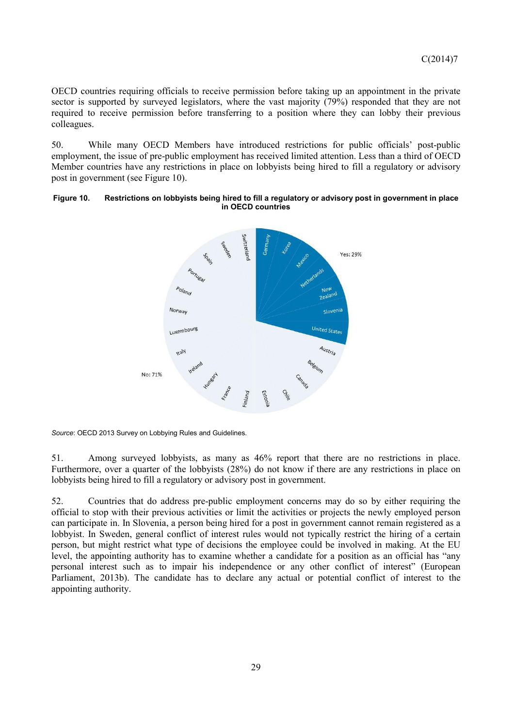OECD countries requiring officials to receive permission before taking up an appointment in the private sector is supported by surveyed legislators, where the vast majority (79%) responded that they are not required to receive permission before transferring to a position where they can lobby their previous colleagues.

50. While many OECD Members have introduced restrictions for public officials' post-public employment, the issue of pre-public employment has received limited attention. Less than a third of OECD Member countries have any restrictions in place on lobbyists being hired to fill a regulatory or advisory post in government (see Figure 10).

#### **Figure 10. Restrictions on lobbyists being hired to fill a regulatory or advisory post in government in place in OECD countries**



*Source*: OECD 2013 Survey on Lobbying Rules and Guidelines.

51. Among surveyed lobbyists, as many as 46% report that there are no restrictions in place. Furthermore, over a quarter of the lobbyists (28%) do not know if there are any restrictions in place on lobbyists being hired to fill a regulatory or advisory post in government.

52. Countries that do address pre-public employment concerns may do so by either requiring the official to stop with their previous activities or limit the activities or projects the newly employed person can participate in. In Slovenia, a person being hired for a post in government cannot remain registered as a lobbyist. In Sweden, general conflict of interest rules would not typically restrict the hiring of a certain person, but might restrict what type of decisions the employee could be involved in making. At the EU level, the appointing authority has to examine whether a candidate for a position as an official has "any personal interest such as to impair his independence or any other conflict of interest" (European Parliament, 2013b). The candidate has to declare any actual or potential conflict of interest to the appointing authority.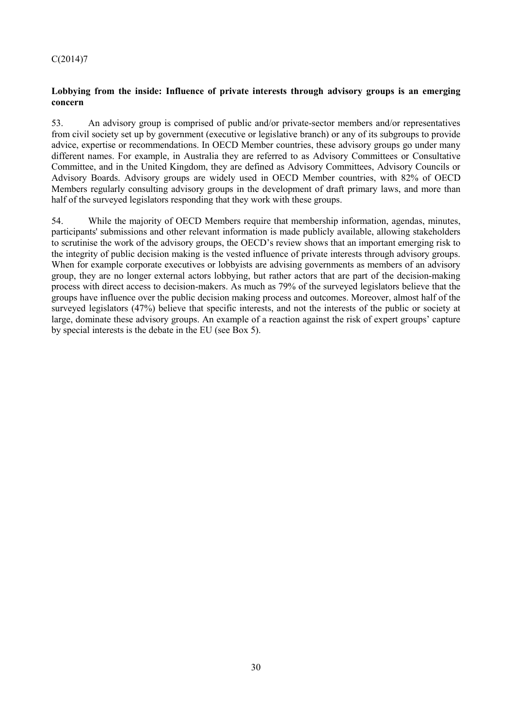## **Lobbying from the inside: Influence of private interests through advisory groups is an emerging concern**

53. An advisory group is comprised of public and/or private-sector members and/or representatives from civil society set up by government (executive or legislative branch) or any of its subgroups to provide advice, expertise or recommendations. In OECD Member countries, these advisory groups go under many different names. For example, in Australia they are referred to as Advisory Committees or Consultative Committee, and in the United Kingdom, they are defined as Advisory Committees, Advisory Councils or Advisory Boards. Advisory groups are widely used in OECD Member countries, with 82% of OECD Members regularly consulting advisory groups in the development of draft primary laws, and more than half of the surveyed legislators responding that they work with these groups.

54. While the majority of OECD Members require that membership information, agendas, minutes, participants' submissions and other relevant information is made publicly available, allowing stakeholders to scrutinise the work of the advisory groups, the OECD's review shows that an important emerging risk to the integrity of public decision making is the vested influence of private interests through advisory groups. When for example corporate executives or lobbyists are advising governments as members of an advisory group, they are no longer external actors lobbying, but rather actors that are part of the decision-making process with direct access to decision-makers. As much as 79% of the surveyed legislators believe that the groups have influence over the public decision making process and outcomes. Moreover, almost half of the surveyed legislators (47%) believe that specific interests, and not the interests of the public or society at large, dominate these advisory groups. An example of a reaction against the risk of expert groups' capture by special interests is the debate in the EU (see Box 5).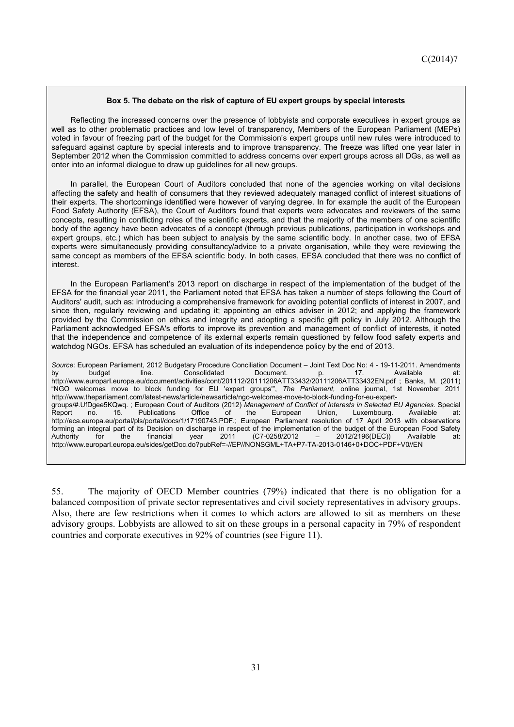#### **Box 5. The debate on the risk of capture of EU expert groups by special interests**

Reflecting the increased concerns over the presence of lobbyists and corporate executives in expert groups as well as to other problematic practices and low level of transparency, Members of the European Parliament (MEPs) voted in favour of freezing part of the budget for the Commission's expert groups until new rules were introduced to safeguard against capture by special interests and to improve transparency. The freeze was lifted one year later in September 2012 when the Commission committed to address concerns over expert groups across all DGs, as well as enter into an informal dialogue to draw up guidelines for all new groups.

In parallel, the European Court of Auditors concluded that none of the agencies working on vital decisions affecting the safety and health of consumers that they reviewed adequately managed conflict of interest situations of their experts. The shortcomings identified were however of varying degree. In for example the audit of the European Food Safety Authority (EFSA), the Court of Auditors found that experts were advocates and reviewers of the same concepts, resulting in conflicting roles of the scientific experts, and that the majority of the members of one scientific body of the agency have been advocates of a concept (through previous publications, participation in workshops and expert groups, etc.) which has been subject to analysis by the same scientific body. In another case, two of EFSA experts were simultaneously providing consultancy/advice to a private organisation, while they were reviewing the same concept as members of the EFSA scientific body. In both cases, EFSA concluded that there was no conflict of interest.

In the European Parliament's 2013 report on discharge in respect of the implementation of the budget of the EFSA for the financial year 2011, the Parliament noted that EFSA has taken a number of steps following the Court of Auditors' audit, such as: introducing a comprehensive framework for avoiding potential conflicts of interest in 2007, and since then, regularly reviewing and updating it; appointing an ethics adviser in 2012; and applying the framework provided by the Commission on ethics and integrity and adopting a specific gift policy in July 2012. Although the Parliament acknowledged EFSA's efforts to improve its prevention and management of conflict of interests, it noted that the independence and competence of its external experts remain questioned by fellow food safety experts and watchdog NGOs. EFSA has scheduled an evaluation of its independence policy by the end of 2013.

*Source:* European Parliament, 2012 Budgetary Procedure Conciliation Document – Joint Text Doc No: 4 - 19-11-2011. Amendments by budget line. Consolidated Document. p. 17. Available at: http://www.europarl.europa.eu/document/activities/cont/201112/20111206ATT33432/20111206ATT33432EN.pdf ; Banks, M. (2011) "NGO welcomes move to block funding for EU 'expert groups'", *The Parliament,* online journal, 1st November 2011 http://www.theparliament.com/latest-news/article/newsarticle/ngo-welcomes-move-to-block-funding-for-eu-expertgroups/#.UfDgee5KQwq. ; European Court of Auditors (2012) *Management of Conflict of Interests in Selected EU Agencies*. Special Report no. 15. Publications Office of the European Union, Luxembourg. Available at: http://eca.europa.eu/portal/pls/portal/docs/1/17190743.PDF.; European Parliament resolution of 17 April 2013 with observations forming an integral part of its Decision on discharge in respect of the implementation of the budget of the European Food Safety Authority for the financial year 2011 (C7-0258/2012 – 2012/2196(DEC)) Available at: http://www.europarl.europa.eu/sides/getDoc.do?pubRef=-//EP//NONSGML+TA+P7-TA-2013-0146+0+DOC+PDF+V0//EN

55. The majority of OECD Member countries (79%) indicated that there is no obligation for a balanced composition of private sector representatives and civil society representatives in advisory groups. Also, there are few restrictions when it comes to which actors are allowed to sit as members on these advisory groups. Lobbyists are allowed to sit on these groups in a personal capacity in 79% of respondent countries and corporate executives in 92% of countries (see Figure 11).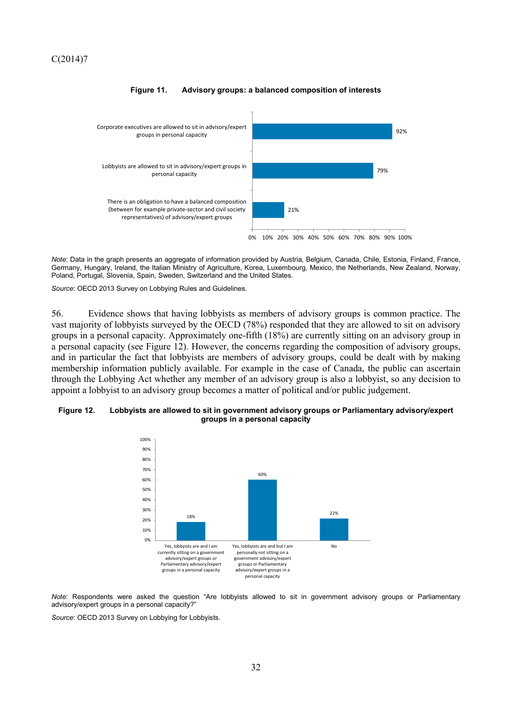

#### **Figure 11. Advisory groups: a balanced composition of interests**

*Note*: Data in the graph presents an aggregate of information provided by Austria, Belgium, Canada, Chile, Estonia, Finland, France, Germany, Hungary, Ireland, the Italian Ministry of Agriculture, Korea, Luxembourg, Mexico, the Netherlands, New Zealand, Norway, Poland, Portugal, Slovenia, Spain, Sweden, Switzerland and the United States.

*Source*: OECD 2013 Survey on Lobbying Rules and Guidelines.

56. Evidence shows that having lobbyists as members of advisory groups is common practice. The vast majority of lobbyists surveyed by the OECD (78%) responded that they are allowed to sit on advisory groups in a personal capacity. Approximately one-fifth (18%) are currently sitting on an advisory group in a personal capacity (see Figure 12). However, the concerns regarding the composition of advisory groups, and in particular the fact that lobbyists are members of advisory groups, could be dealt with by making membership information publicly available. For example in the case of Canada, the public can ascertain through the Lobbying Act whether any member of an advisory group is also a lobbyist, so any decision to appoint a lobbyist to an advisory group becomes a matter of political and/or public judgement.

#### **Figure 12. Lobbyists are allowed to sit in government advisory groups or Parliamentary advisory/expert groups in a personal capacity**



*Note*: Respondents were asked the question "Are lobbyists allowed to sit in government advisory groups or Parliamentary advisory/expert groups in a personal capacity?"

*Source*: OECD 2013 Survey on Lobbying for Lobbyists.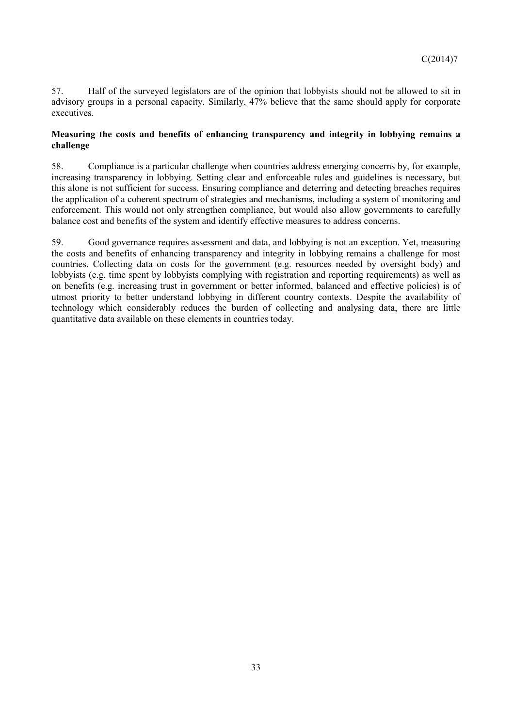57. Half of the surveyed legislators are of the opinion that lobbyists should not be allowed to sit in advisory groups in a personal capacity. Similarly, 47% believe that the same should apply for corporate executives.

### **Measuring the costs and benefits of enhancing transparency and integrity in lobbying remains a challenge**

58. Compliance is a particular challenge when countries address emerging concerns by, for example, increasing transparency in lobbying. Setting clear and enforceable rules and guidelines is necessary, but this alone is not sufficient for success. Ensuring compliance and deterring and detecting breaches requires the application of a coherent spectrum of strategies and mechanisms, including a system of monitoring and enforcement. This would not only strengthen compliance, but would also allow governments to carefully balance cost and benefits of the system and identify effective measures to address concerns.

59. Good governance requires assessment and data, and lobbying is not an exception. Yet, measuring the costs and benefits of enhancing transparency and integrity in lobbying remains a challenge for most countries. Collecting data on costs for the government (e.g. resources needed by oversight body) and lobbyists (e.g. time spent by lobbyists complying with registration and reporting requirements) as well as on benefits (e.g. increasing trust in government or better informed, balanced and effective policies) is of utmost priority to better understand lobbying in different country contexts. Despite the availability of technology which considerably reduces the burden of collecting and analysing data, there are little quantitative data available on these elements in countries today.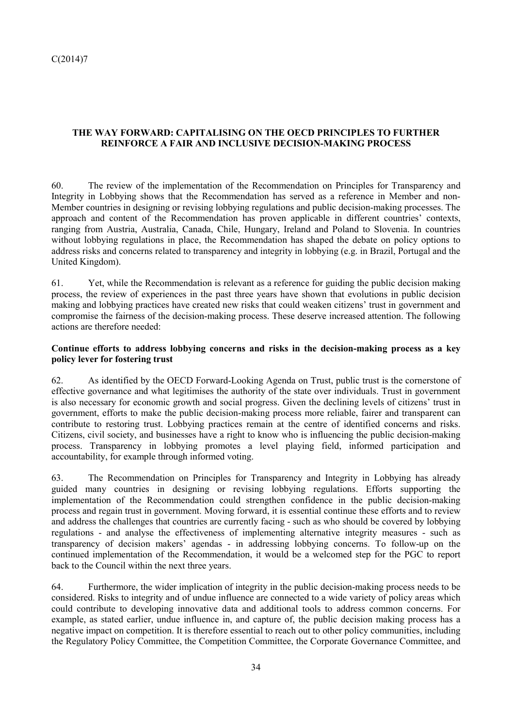# **THE WAY FORWARD: CAPITALISING ON THE OECD PRINCIPLES TO FURTHER REINFORCE A FAIR AND INCLUSIVE DECISION-MAKING PROCESS**

60. The review of the implementation of the Recommendation on Principles for Transparency and Integrity in Lobbying shows that the Recommendation has served as a reference in Member and non-Member countries in designing or revising lobbying regulations and public decision-making processes. The approach and content of the Recommendation has proven applicable in different countries' contexts, ranging from Austria, Australia, Canada, Chile, Hungary, Ireland and Poland to Slovenia. In countries without lobbying regulations in place, the Recommendation has shaped the debate on policy options to address risks and concerns related to transparency and integrity in lobbying (e.g. in Brazil, Portugal and the United Kingdom).

61. Yet, while the Recommendation is relevant as a reference for guiding the public decision making process, the review of experiences in the past three years have shown that evolutions in public decision making and lobbying practices have created new risks that could weaken citizens' trust in government and compromise the fairness of the decision-making process. These deserve increased attention. The following actions are therefore needed:

### **Continue efforts to address lobbying concerns and risks in the decision-making process as a key policy lever for fostering trust**

62. As identified by the OECD Forward-Looking Agenda on Trust, public trust is the cornerstone of effective governance and what legitimises the authority of the state over individuals. Trust in government is also necessary for economic growth and social progress. Given the declining levels of citizens' trust in government, efforts to make the public decision-making process more reliable, fairer and transparent can contribute to restoring trust. Lobbying practices remain at the centre of identified concerns and risks. Citizens, civil society, and businesses have a right to know who is influencing the public decision-making process. Transparency in lobbying promotes a level playing field, informed participation and accountability, for example through informed voting.

63. The Recommendation on Principles for Transparency and Integrity in Lobbying has already guided many countries in designing or revising lobbying regulations. Efforts supporting the implementation of the Recommendation could strengthen confidence in the public decision-making process and regain trust in government. Moving forward, it is essential continue these efforts and to review and address the challenges that countries are currently facing - such as who should be covered by lobbying regulations - and analyse the effectiveness of implementing alternative integrity measures - such as transparency of decision makers' agendas - in addressing lobbying concerns. To follow-up on the continued implementation of the Recommendation, it would be a welcomed step for the PGC to report back to the Council within the next three years.

64. Furthermore, the wider implication of integrity in the public decision-making process needs to be considered. Risks to integrity and of undue influence are connected to a wide variety of policy areas which could contribute to developing innovative data and additional tools to address common concerns. For example, as stated earlier, undue influence in, and capture of, the public decision making process has a negative impact on competition. It is therefore essential to reach out to other policy communities, including the Regulatory Policy Committee, the Competition Committee, the Corporate Governance Committee, and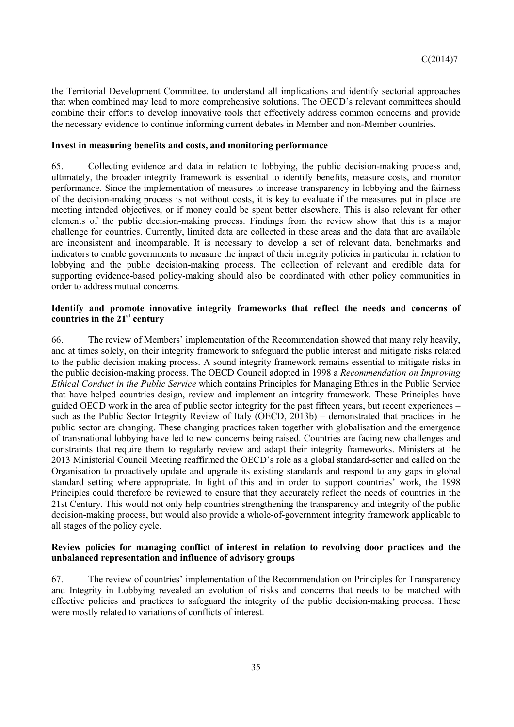the Territorial Development Committee, to understand all implications and identify sectorial approaches that when combined may lead to more comprehensive solutions. The OECD's relevant committees should combine their efforts to develop innovative tools that effectively address common concerns and provide the necessary evidence to continue informing current debates in Member and non-Member countries.

### **Invest in measuring benefits and costs, and monitoring performance**

65. Collecting evidence and data in relation to lobbying, the public decision-making process and, ultimately, the broader integrity framework is essential to identify benefits, measure costs, and monitor performance. Since the implementation of measures to increase transparency in lobbying and the fairness of the decision-making process is not without costs, it is key to evaluate if the measures put in place are meeting intended objectives, or if money could be spent better elsewhere. This is also relevant for other elements of the public decision-making process. Findings from the review show that this is a major challenge for countries. Currently, limited data are collected in these areas and the data that are available are inconsistent and incomparable. It is necessary to develop a set of relevant data, benchmarks and indicators to enable governments to measure the impact of their integrity policies in particular in relation to lobbying and the public decision-making process. The collection of relevant and credible data for supporting evidence-based policy-making should also be coordinated with other policy communities in order to address mutual concerns.

### **Identify and promote innovative integrity frameworks that reflect the needs and concerns of countries in the 21st century**

66. The review of Members' implementation of the Recommendation showed that many rely heavily, and at times solely, on their integrity framework to safeguard the public interest and mitigate risks related to the public decision making process. A sound integrity framework remains essential to mitigate risks in the public decision-making process. The OECD Council adopted in 1998 a *Recommendation on Improving Ethical Conduct in the Public Service* which contains Principles for Managing Ethics in the Public Service that have helped countries design, review and implement an integrity framework. These Principles have guided OECD work in the area of public sector integrity for the past fifteen years, but recent experiences – such as the Public Sector Integrity Review of Italy (OECD, 2013b) – demonstrated that practices in the public sector are changing. These changing practices taken together with globalisation and the emergence of transnational lobbying have led to new concerns being raised. Countries are facing new challenges and constraints that require them to regularly review and adapt their integrity frameworks. Ministers at the 2013 Ministerial Council Meeting reaffirmed the OECD's role as a global standard-setter and called on the Organisation to proactively update and upgrade its existing standards and respond to any gaps in global standard setting where appropriate. In light of this and in order to support countries' work, the 1998 Principles could therefore be reviewed to ensure that they accurately reflect the needs of countries in the 21st Century. This would not only help countries strengthening the transparency and integrity of the public decision-making process, but would also provide a whole-of-government integrity framework applicable to all stages of the policy cycle.

### **Review policies for managing conflict of interest in relation to revolving door practices and the unbalanced representation and influence of advisory groups**

67. The review of countries' implementation of the Recommendation on Principles for Transparency and Integrity in Lobbying revealed an evolution of risks and concerns that needs to be matched with effective policies and practices to safeguard the integrity of the public decision-making process. These were mostly related to variations of conflicts of interest.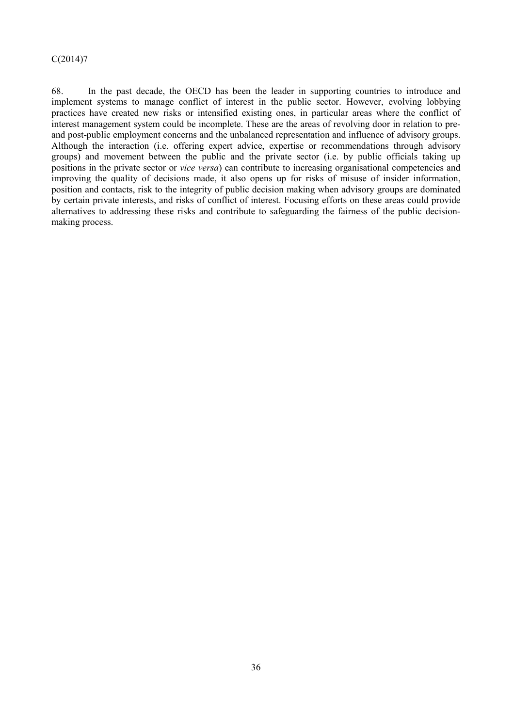68. In the past decade, the OECD has been the leader in supporting countries to introduce and implement systems to manage conflict of interest in the public sector. However, evolving lobbying practices have created new risks or intensified existing ones, in particular areas where the conflict of interest management system could be incomplete. These are the areas of revolving door in relation to preand post-public employment concerns and the unbalanced representation and influence of advisory groups. Although the interaction (i.e. offering expert advice, expertise or recommendations through advisory groups) and movement between the public and the private sector (i.e. by public officials taking up positions in the private sector or *vice versa*) can contribute to increasing organisational competencies and improving the quality of decisions made, it also opens up for risks of misuse of insider information, position and contacts, risk to the integrity of public decision making when advisory groups are dominated by certain private interests, and risks of conflict of interest. Focusing efforts on these areas could provide alternatives to addressing these risks and contribute to safeguarding the fairness of the public decisionmaking process.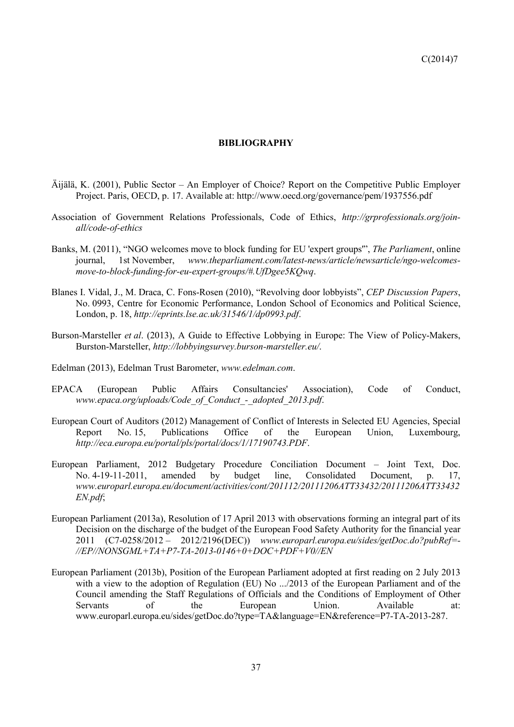#### **BIBLIOGRAPHY**

- Äijälä, K. (2001), Public Sector An Employer of Choice? Report on the Competitive Public Employer Project. Paris, OECD, p. 17. Available at: http://www.oecd.org/governance/pem/1937556.pdf
- Association of Government Relations Professionals, Code of Ethics, *http://grprofessionals.org/joinall/code-of-ethics*
- Banks, M. (2011), "NGO welcomes move to block funding for EU 'expert groups'", *The Parliament*, online journal, 1st November, *www.theparliament.com/latest-news/article/newsarticle/ngo-welcomesmove-to-block-funding-for-eu-expert-groups/#.UfDgee5KQwq*.
- Blanes I. Vidal, J., M. Draca, C. Fons-Rosen (2010), "Revolving door lobbyists", *CEP Discussion Papers*, No. 0993, Centre for Economic Performance, London School of Economics and Political Science, London, p. 18, *http://eprints.lse.ac.uk/31546/1/dp0993.pdf*.
- Burson-Marsteller *et al*. (2013), A Guide to Effective Lobbying in Europe: The View of Policy-Makers, Burston-Marsteller, *http://lobbyingsurvey.burson-marsteller.eu/*.
- Edelman (2013), Edelman Trust Barometer, *www.edelman.com*.
- EPACA (European Public Affairs Consultancies' Association), Code of Conduct, *www.epaca.org/uploads/Code\_of\_Conduct\_-\_adopted\_2013.pdf*.
- European Court of Auditors (2012) Management of Conflict of Interests in Selected EU Agencies, Special Report No. 15, Publications Office of the European Union, Luxembourg, *http://eca.europa.eu/portal/pls/portal/docs/1/17190743.PDF*.
- European Parliament, 2012 Budgetary Procedure Conciliation Document Joint Text, Doc. No. 4-19-11-2011, amended by budget line, Consolidated Document, p. 17, *www.europarl.europa.eu/document/activities/cont/201112/20111206ATT33432/20111206ATT33432 EN.pdf*;
- European Parliament (2013a), Resolution of 17 April 2013 with observations forming an integral part of its Decision on the discharge of the budget of the European Food Safety Authority for the financial year 2011 (C7-0258/2012 – 2012/2196(DEC)) *www.europarl.europa.eu/sides/getDoc.do?pubRef=- //EP//NONSGML+TA+P7-TA-2013-0146+0+DOC+PDF+V0//EN*
- European Parliament (2013b), Position of the European Parliament adopted at first reading on 2 July 2013 with a view to the adoption of Regulation (EU) No .../2013 of the European Parliament and of the Council amending the Staff Regulations of Officials and the Conditions of Employment of Other Servants of the European Union. Available at: www.europarl.europa.eu/sides/getDoc.do?type=TA&language=EN&reference=P7-TA-2013-287.